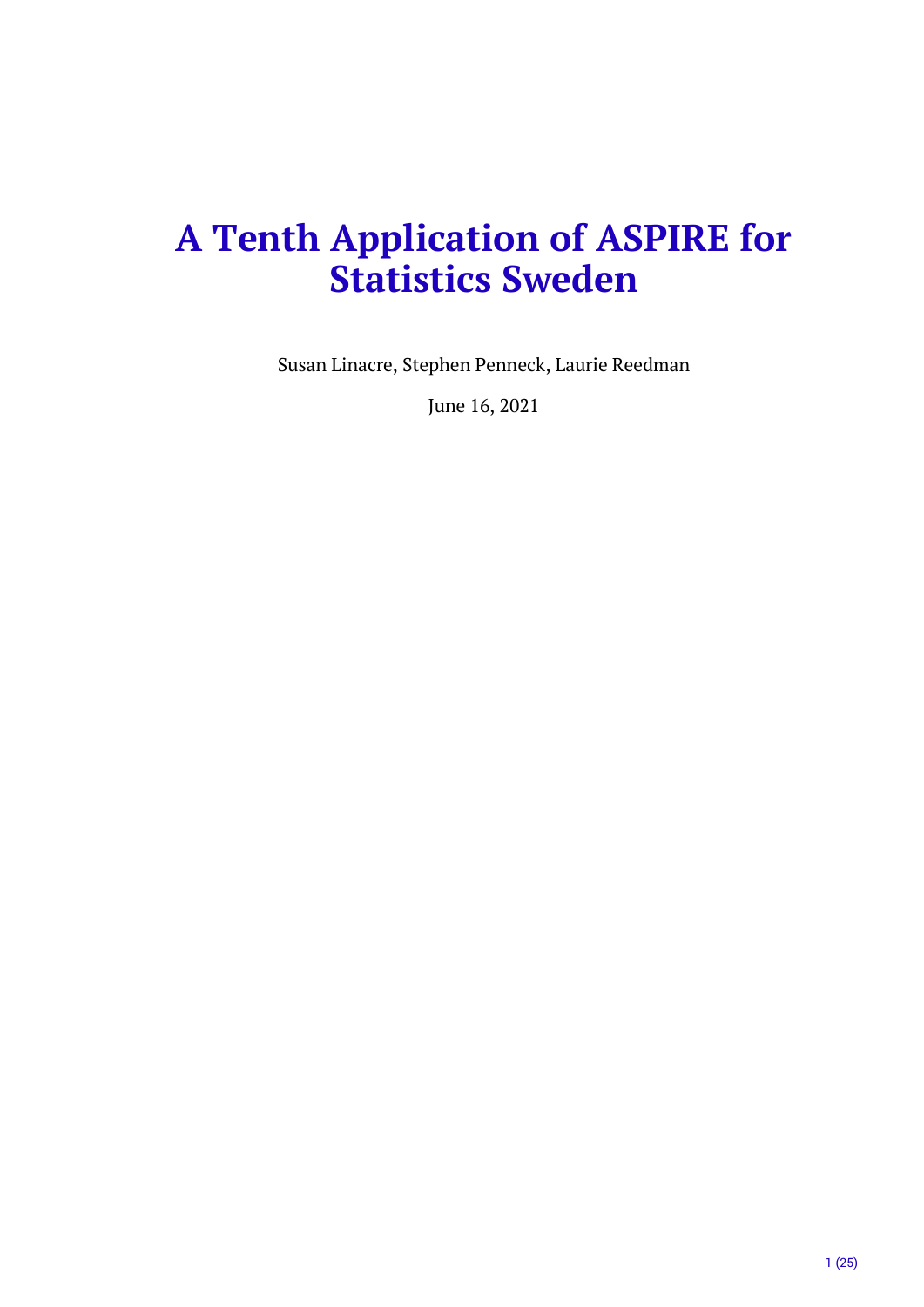# **A Tenth Application of ASPIRE for Statistics Sweden**

Susan Linacre, Stephen Penneck, Laurie Reedman

June 16, 2021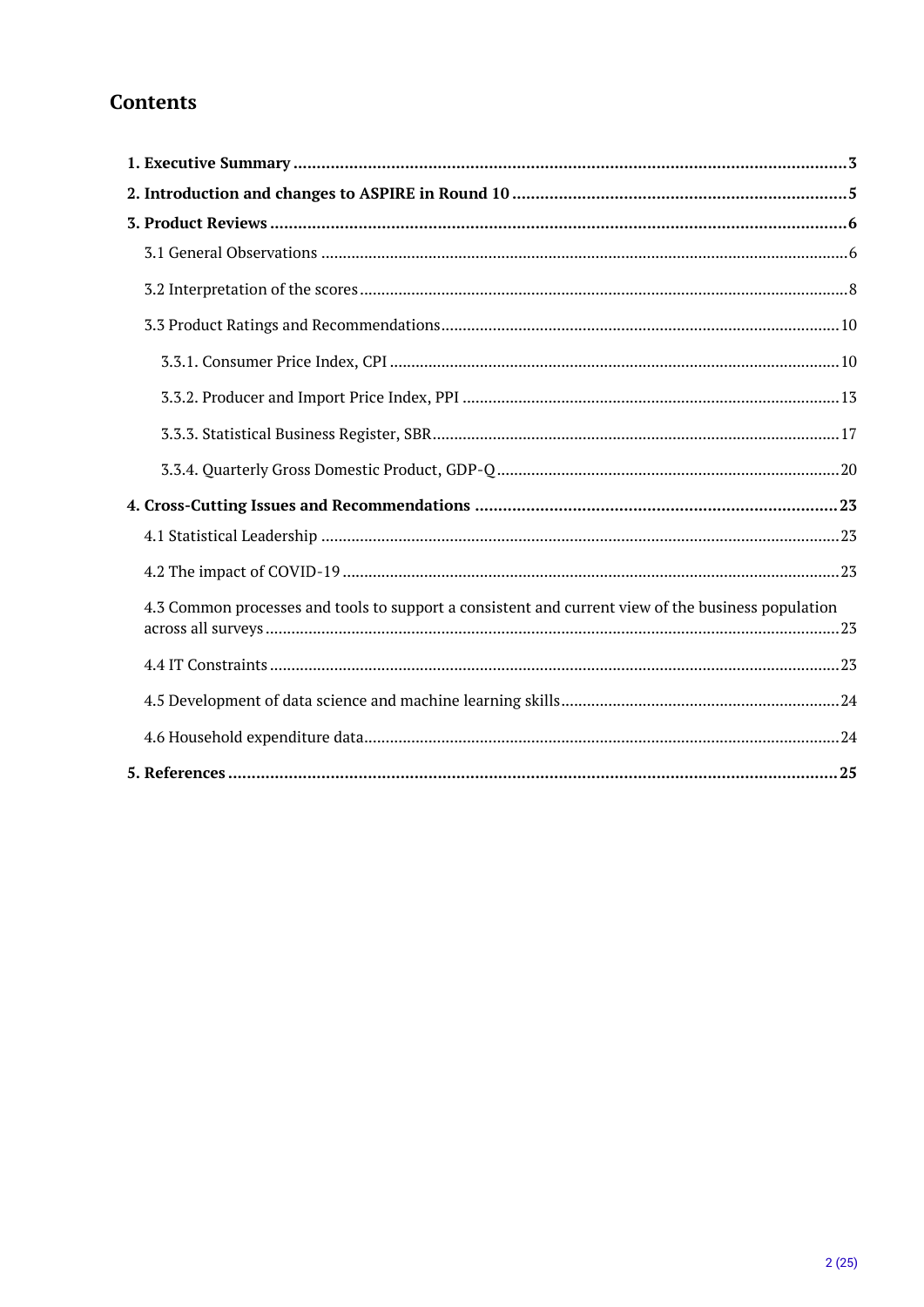# **Contents**

| 4.3 Common processes and tools to support a consistent and current view of the business population |  |
|----------------------------------------------------------------------------------------------------|--|
|                                                                                                    |  |
|                                                                                                    |  |
|                                                                                                    |  |
|                                                                                                    |  |
|                                                                                                    |  |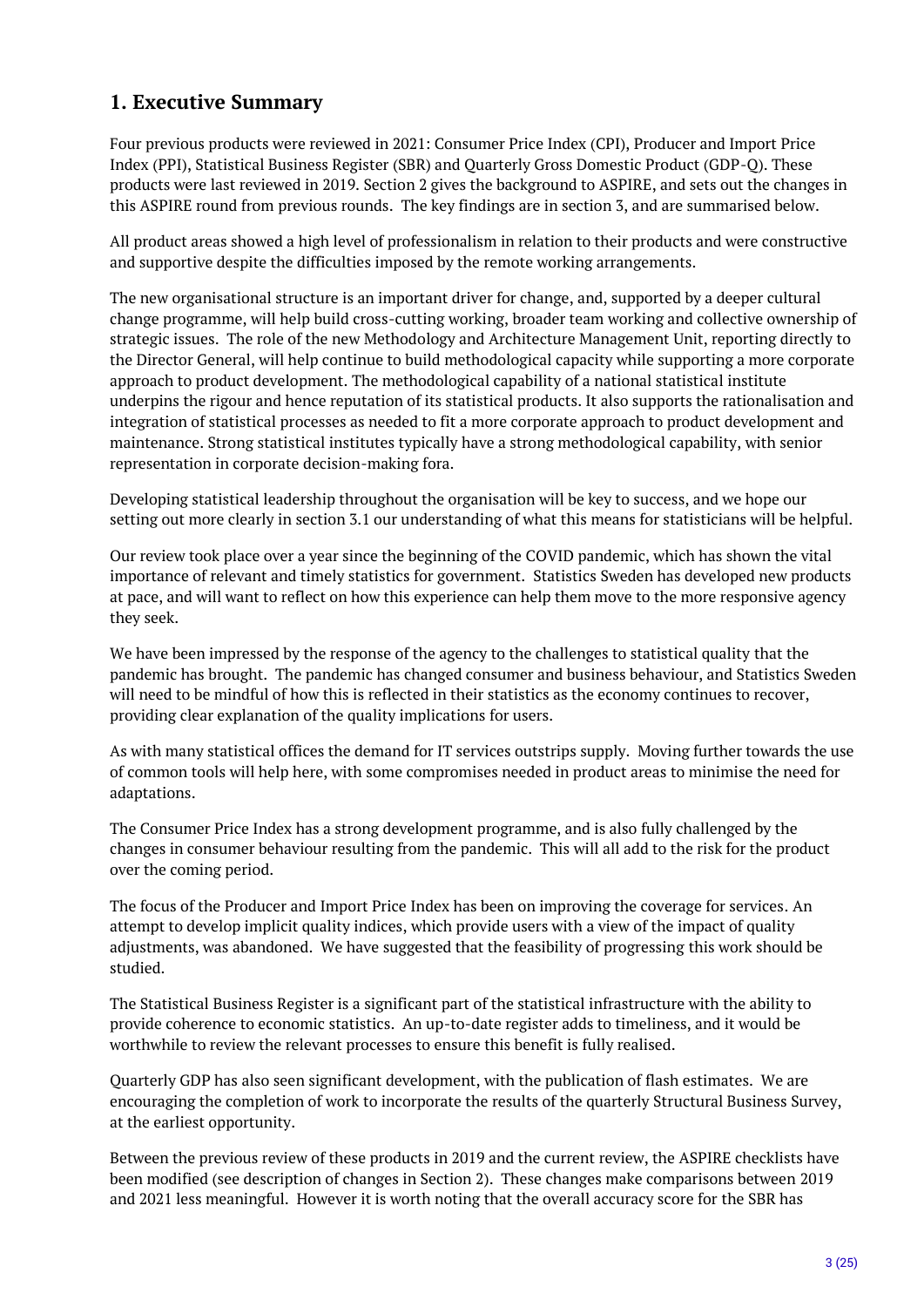# <span id="page-2-0"></span>**1. Executive Summary**

Four previous products were reviewed in 2021: Consumer Price Index (CPI), Producer and Import Price Index (PPI), Statistical Business Register (SBR) and Quarterly Gross Domestic Product (GDP-Q). These products were last reviewed in 2019. Section 2 gives the background to ASPIRE, and sets out the changes in this ASPIRE round from previous rounds. The key findings are in section 3, and are summarised below.

All product areas showed a high level of professionalism in relation to their products and were constructive and supportive despite the difficulties imposed by the remote working arrangements.

The new organisational structure is an important driver for change, and, supported by a deeper cultural change programme, will help build cross-cutting working, broader team working and collective ownership of strategic issues. The role of the new Methodology and Architecture Management Unit, reporting directly to the Director General, will help continue to build methodological capacity while supporting a more corporate approach to product development. The methodological capability of a national statistical institute underpins the rigour and hence reputation of its statistical products. It also supports the rationalisation and integration of statistical processes as needed to fit a more corporate approach to product development and maintenance. Strong statistical institutes typically have a strong methodological capability, with senior representation in corporate decision-making fora.

Developing statistical leadership throughout the organisation will be key to success, and we hope our setting out more clearly in section 3.1 our understanding of what this means for statisticians will be helpful.

Our review took place over a year since the beginning of the COVID pandemic, which has shown the vital importance of relevant and timely statistics for government. Statistics Sweden has developed new products at pace, and will want to reflect on how this experience can help them move to the more responsive agency they seek.

We have been impressed by the response of the agency to the challenges to statistical quality that the pandemic has brought. The pandemic has changed consumer and business behaviour, and Statistics Sweden will need to be mindful of how this is reflected in their statistics as the economy continues to recover, providing clear explanation of the quality implications for users.

As with many statistical offices the demand for IT services outstrips supply. Moving further towards the use of common tools will help here, with some compromises needed in product areas to minimise the need for adaptations.

The Consumer Price Index has a strong development programme, and is also fully challenged by the changes in consumer behaviour resulting from the pandemic. This will all add to the risk for the product over the coming period.

The focus of the Producer and Import Price Index has been on improving the coverage for services. An attempt to develop implicit quality indices, which provide users with a view of the impact of quality adjustments, was abandoned. We have suggested that the feasibility of progressing this work should be studied.

The Statistical Business Register is a significant part of the statistical infrastructure with the ability to provide coherence to economic statistics. An up-to-date register adds to timeliness, and it would be worthwhile to review the relevant processes to ensure this benefit is fully realised.

Quarterly GDP has also seen significant development, with the publication of flash estimates. We are encouraging the completion of work to incorporate the results of the quarterly Structural Business Survey, at the earliest opportunity.

Between the previous review of these products in 2019 and the current review, the ASPIRE checklists have been modified (see description of changes in Section 2). These changes make comparisons between 2019 and 2021 less meaningful. However it is worth noting that the overall accuracy score for the SBR has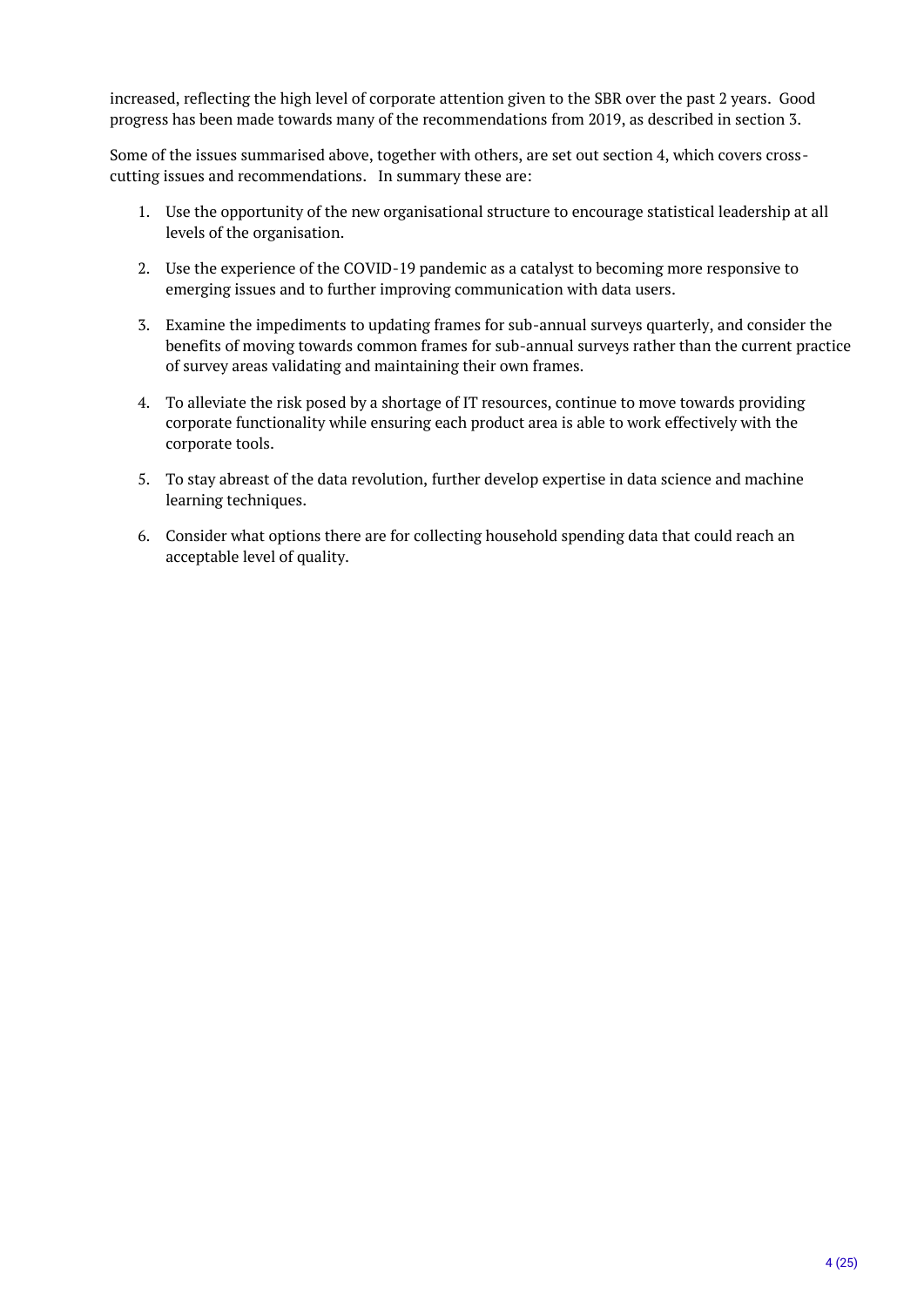increased, reflecting the high level of corporate attention given to the SBR over the past 2 years. Good progress has been made towards many of the recommendations from 2019, as described in section 3.

Some of the issues summarised above, together with others, are set out section 4, which covers crosscutting issues and recommendations. In summary these are:

- 1. Use the opportunity of the new organisational structure to encourage statistical leadership at all levels of the organisation.
- 2. Use the experience of the COVID-19 pandemic as a catalyst to becoming more responsive to emerging issues and to further improving communication with data users.
- 3. Examine the impediments to updating frames for sub-annual surveys quarterly, and consider the benefits of moving towards common frames for sub-annual surveys rather than the current practice of survey areas validating and maintaining their own frames.
- 4. To alleviate the risk posed by a shortage of IT resources, continue to move towards providing corporate functionality while ensuring each product area is able to work effectively with the corporate tools.
- 5. To stay abreast of the data revolution, further develop expertise in data science and machine learning techniques.
- 6. Consider what options there are for collecting household spending data that could reach an acceptable level of quality.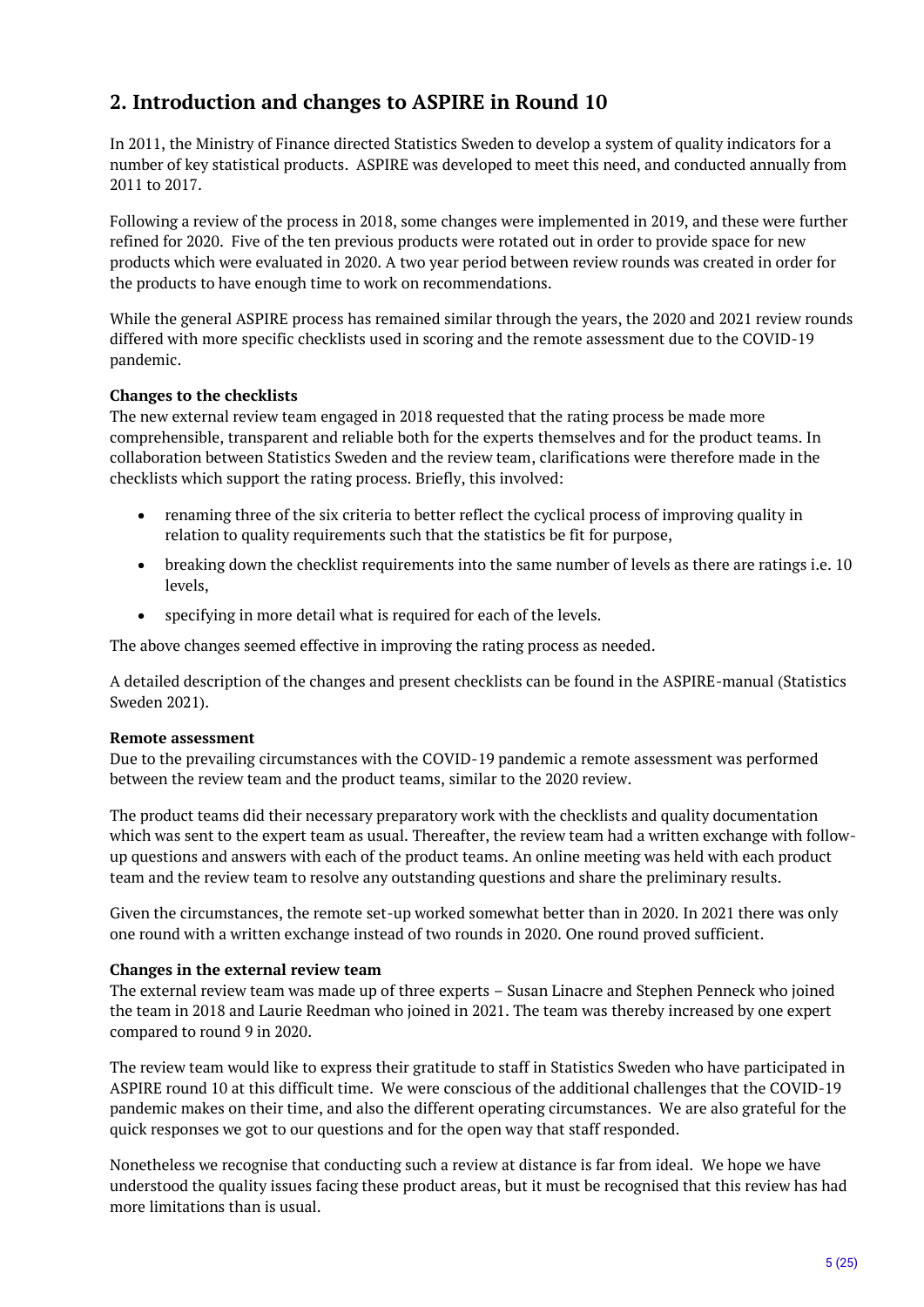# <span id="page-4-0"></span>**2. Introduction and changes to ASPIRE in Round 10**

In 2011, the Ministry of Finance directed Statistics Sweden to develop a system of quality indicators for a number of key statistical products. ASPIRE was developed to meet this need, and conducted annually from 2011 to 2017.

Following a review of the process in 2018, some changes were implemented in 2019, and these were further refined for 2020. Five of the ten previous products were rotated out in order to provide space for new products which were evaluated in 2020. A two year period between review rounds was created in order for the products to have enough time to work on recommendations.

While the general ASPIRE process has remained similar through the years, the 2020 and 2021 review rounds differed with more specific checklists used in scoring and the remote assessment due to the COVID-19 pandemic.

#### **Changes to the checklists**

The new external review team engaged in 2018 requested that the rating process be made more comprehensible, transparent and reliable both for the experts themselves and for the product teams. In collaboration between Statistics Sweden and the review team, clarifications were therefore made in the checklists which support the rating process. Briefly, this involved:

- renaming three of the six criteria to better reflect the cyclical process of improving quality in relation to quality requirements such that the statistics be fit for purpose,
- breaking down the checklist requirements into the same number of levels as there are ratings i.e. 10 levels,
- specifying in more detail what is required for each of the levels.

The above changes seemed effective in improving the rating process as needed.

A detailed description of the changes and present checklists can be found in the ASPIRE-manual (Statistics Sweden 2021).

#### **Remote assessment**

Due to the prevailing circumstances with the COVID-19 pandemic a remote assessment was performed between the review team and the product teams, similar to the 2020 review.

The product teams did their necessary preparatory work with the checklists and quality documentation which was sent to the expert team as usual. Thereafter, the review team had a written exchange with followup questions and answers with each of the product teams. An online meeting was held with each product team and the review team to resolve any outstanding questions and share the preliminary results.

Given the circumstances, the remote set-up worked somewhat better than in 2020. In 2021 there was only one round with a written exchange instead of two rounds in 2020. One round proved sufficient.

#### **Changes in the external review team**

The external review team was made up of three experts – Susan Linacre and Stephen Penneck who joined the team in 2018 and Laurie Reedman who joined in 2021. The team was thereby increased by one expert compared to round 9 in 2020.

The review team would like to express their gratitude to staff in Statistics Sweden who have participated in ASPIRE round 10 at this difficult time. We were conscious of the additional challenges that the COVID-19 pandemic makes on their time, and also the different operating circumstances. We are also grateful for the quick responses we got to our questions and for the open way that staff responded.

Nonetheless we recognise that conducting such a review at distance is far from ideal. We hope we have understood the quality issues facing these product areas, but it must be recognised that this review has had more limitations than is usual.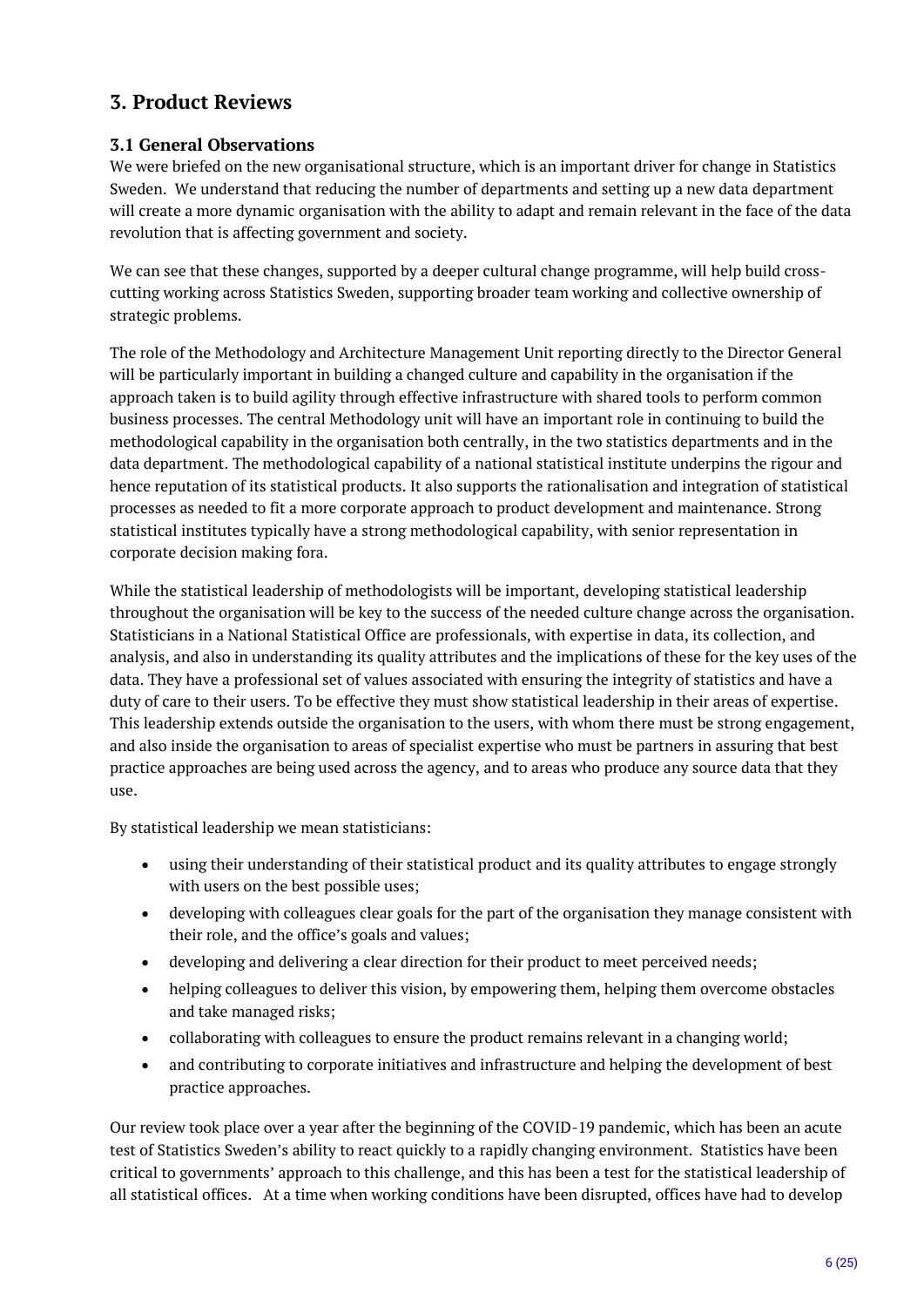# <span id="page-5-0"></span>**3. Product Reviews**

## <span id="page-5-1"></span>**3.1 General Observations**

We were briefed on the new organisational structure, which is an important driver for change in Statistics Sweden. We understand that reducing the number of departments and setting up a new data department will create a more dynamic organisation with the ability to adapt and remain relevant in the face of the data revolution that is affecting government and society.

We can see that these changes, supported by a deeper cultural change programme, will help build crosscutting working across Statistics Sweden, supporting broader team working and collective ownership of strategic problems.

The role of the Methodology and Architecture Management Unit reporting directly to the Director General will be particularly important in building a changed culture and capability in the organisation if the approach taken is to build agility through effective infrastructure with shared tools to perform common business processes. The central Methodology unit will have an important role in continuing to build the methodological capability in the organisation both centrally, in the two statistics departments and in the data department. The methodological capability of a national statistical institute underpins the rigour and hence reputation of its statistical products. It also supports the rationalisation and integration of statistical processes as needed to fit a more corporate approach to product development and maintenance. Strong statistical institutes typically have a strong methodological capability, with senior representation in corporate decision making fora.

While the statistical leadership of methodologists will be important, developing statistical leadership throughout the organisation will be key to the success of the needed culture change across the organisation. Statisticians in a National Statistical Office are professionals, with expertise in data, its collection, and analysis, and also in understanding its quality attributes and the implications of these for the key uses of the data. They have a professional set of values associated with ensuring the integrity of statistics and have a duty of care to their users. To be effective they must show statistical leadership in their areas of expertise. This leadership extends outside the organisation to the users, with whom there must be strong engagement, and also inside the organisation to areas of specialist expertise who must be partners in assuring that best practice approaches are being used across the agency, and to areas who produce any source data that they use.

By statistical leadership we mean statisticians:

- using their understanding of their statistical product and its quality attributes to engage strongly with users on the best possible uses;
- developing with colleagues clear goals for the part of the organisation they manage consistent with their role, and the office's goals and values;
- developing and delivering a clear direction for their product to meet perceived needs;
- helping colleagues to deliver this vision, by empowering them, helping them overcome obstacles and take managed risks;
- collaborating with colleagues to ensure the product remains relevant in a changing world;
- and contributing to corporate initiatives and infrastructure and helping the development of best practice approaches.

Our review took place over a year after the beginning of the COVID-19 pandemic, which has been an acute test of Statistics Sweden's ability to react quickly to a rapidly changing environment. Statistics have been critical to governments' approach to this challenge, and this has been a test for the statistical leadership of all statistical offices. At a time when working conditions have been disrupted, offices have had to develop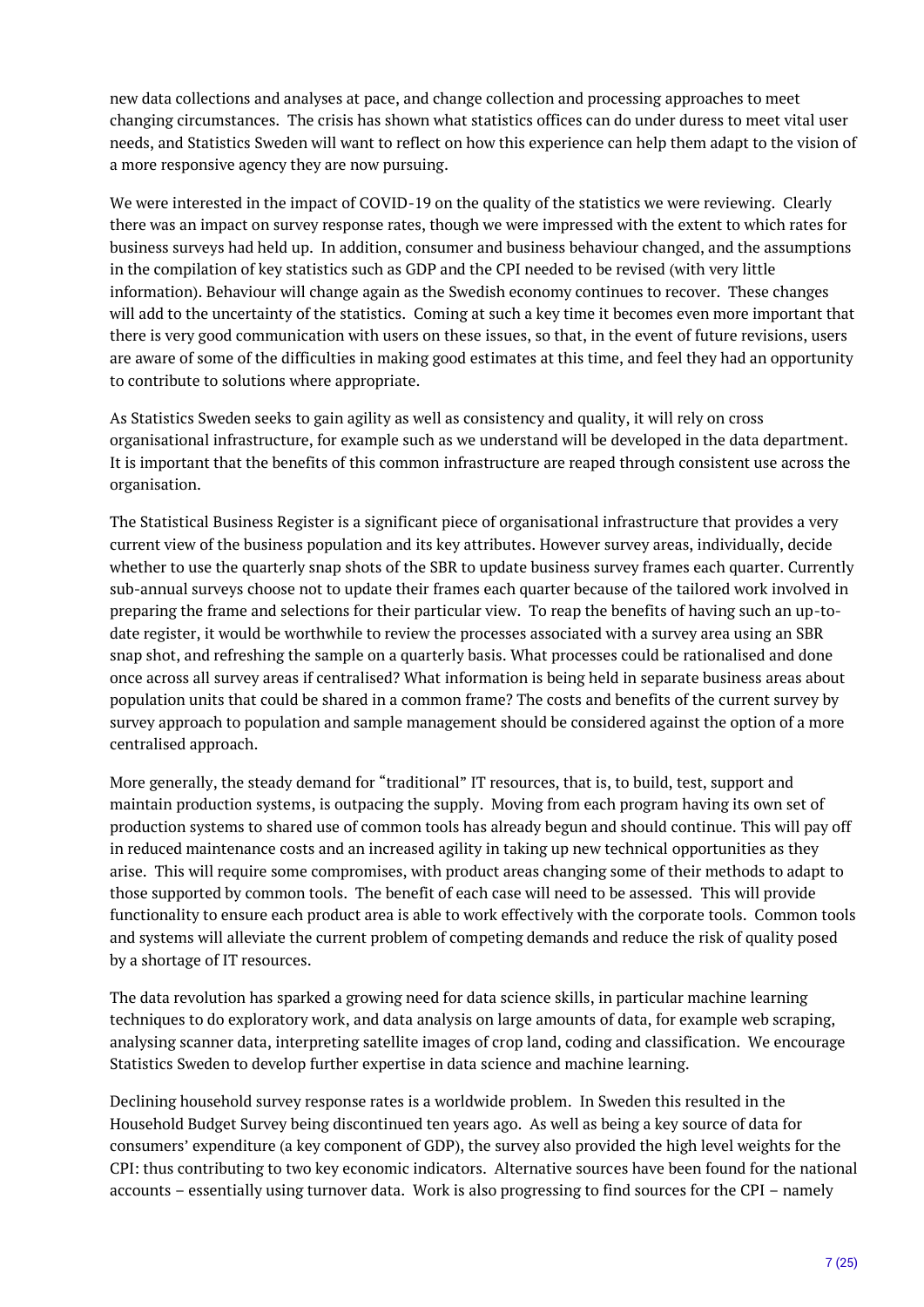new data collections and analyses at pace, and change collection and processing approaches to meet changing circumstances. The crisis has shown what statistics offices can do under duress to meet vital user needs, and Statistics Sweden will want to reflect on how this experience can help them adapt to the vision of a more responsive agency they are now pursuing.

We were interested in the impact of COVID-19 on the quality of the statistics we were reviewing. Clearly there was an impact on survey response rates, though we were impressed with the extent to which rates for business surveys had held up. In addition, consumer and business behaviour changed, and the assumptions in the compilation of key statistics such as GDP and the CPI needed to be revised (with very little information). Behaviour will change again as the Swedish economy continues to recover. These changes will add to the uncertainty of the statistics. Coming at such a key time it becomes even more important that there is very good communication with users on these issues, so that, in the event of future revisions, users are aware of some of the difficulties in making good estimates at this time, and feel they had an opportunity to contribute to solutions where appropriate.

As Statistics Sweden seeks to gain agility as well as consistency and quality, it will rely on cross organisational infrastructure, for example such as we understand will be developed in the data department. It is important that the benefits of this common infrastructure are reaped through consistent use across the organisation.

The Statistical Business Register is a significant piece of organisational infrastructure that provides a very current view of the business population and its key attributes. However survey areas, individually, decide whether to use the quarterly snap shots of the SBR to update business survey frames each quarter. Currently sub-annual surveys choose not to update their frames each quarter because of the tailored work involved in preparing the frame and selections for their particular view. To reap the benefits of having such an up-todate register, it would be worthwhile to review the processes associated with a survey area using an SBR snap shot, and refreshing the sample on a quarterly basis. What processes could be rationalised and done once across all survey areas if centralised? What information is being held in separate business areas about population units that could be shared in a common frame? The costs and benefits of the current survey by survey approach to population and sample management should be considered against the option of a more centralised approach.

More generally, the steady demand for "traditional" IT resources, that is, to build, test, support and maintain production systems, is outpacing the supply. Moving from each program having its own set of production systems to shared use of common tools has already begun and should continue. This will pay off in reduced maintenance costs and an increased agility in taking up new technical opportunities as they arise. This will require some compromises, with product areas changing some of their methods to adapt to those supported by common tools. The benefit of each case will need to be assessed. This will provide functionality to ensure each product area is able to work effectively with the corporate tools. Common tools and systems will alleviate the current problem of competing demands and reduce the risk of quality posed by a shortage of IT resources.

The data revolution has sparked a growing need for data science skills, in particular machine learning techniques to do exploratory work, and data analysis on large amounts of data, for example web scraping, analysing scanner data, interpreting satellite images of crop land, coding and classification. We encourage Statistics Sweden to develop further expertise in data science and machine learning.

Declining household survey response rates is a worldwide problem. In Sweden this resulted in the Household Budget Survey being discontinued ten years ago. As well as being a key source of data for consumers' expenditure (a key component of GDP), the survey also provided the high level weights for the CPI: thus contributing to two key economic indicators. Alternative sources have been found for the national accounts – essentially using turnover data. Work is also progressing to find sources for the CPI – namely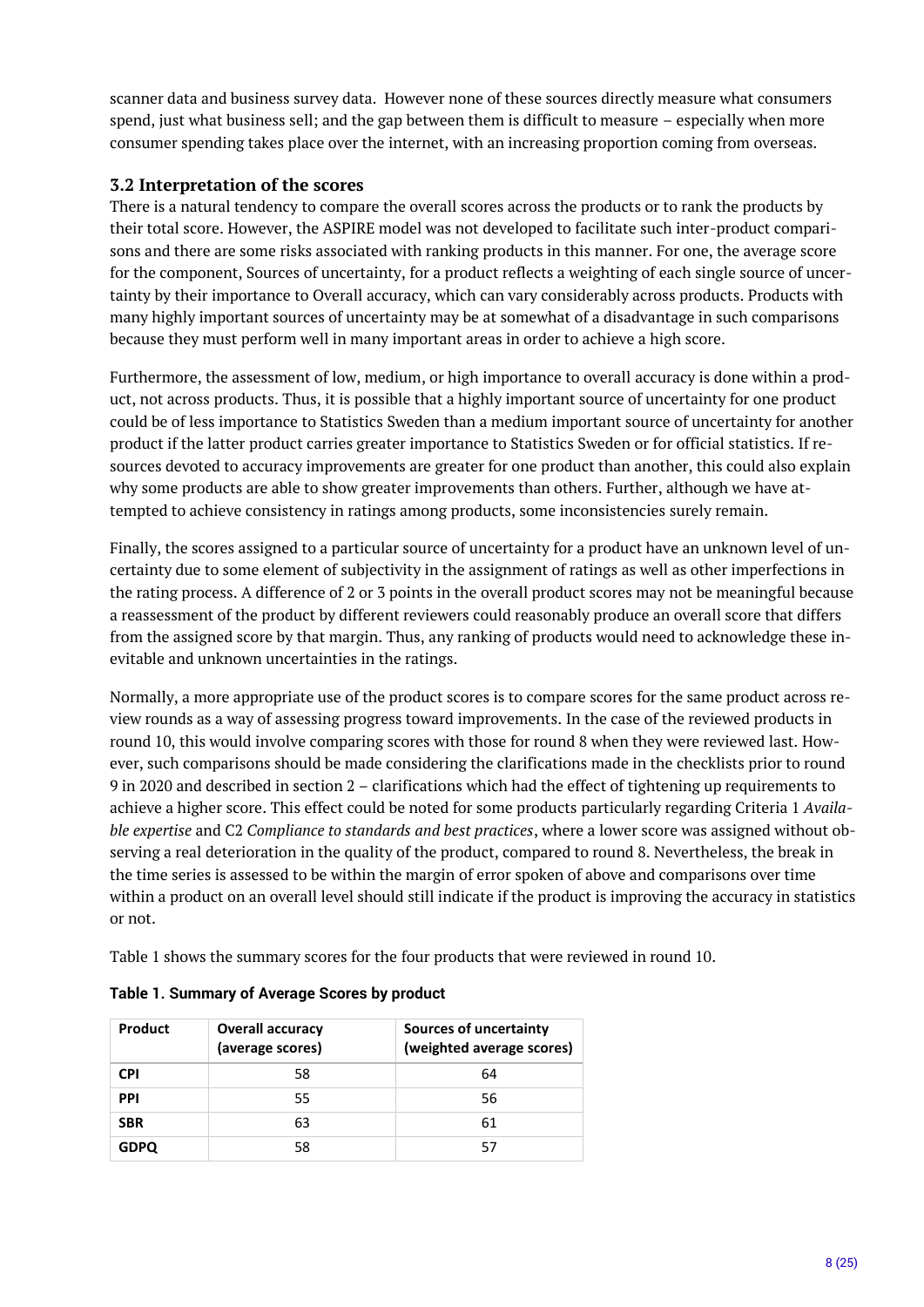scanner data and business survey data. However none of these sources directly measure what consumers spend, just what business sell; and the gap between them is difficult to measure – especially when more consumer spending takes place over the internet, with an increasing proportion coming from overseas.

## <span id="page-7-0"></span>**3.2 Interpretation of the scores**

There is a natural tendency to compare the overall scores across the products or to rank the products by their total score. However, the ASPIRE model was not developed to facilitate such inter-product comparisons and there are some risks associated with ranking products in this manner. For one, the average score for the component, Sources of uncertainty, for a product reflects a weighting of each single source of uncertainty by their importance to Overall accuracy, which can vary considerably across products. Products with many highly important sources of uncertainty may be at somewhat of a disadvantage in such comparisons because they must perform well in many important areas in order to achieve a high score.

Furthermore, the assessment of low, medium, or high importance to overall accuracy is done within a product, not across products. Thus, it is possible that a highly important source of uncertainty for one product could be of less importance to Statistics Sweden than a medium important source of uncertainty for another product if the latter product carries greater importance to Statistics Sweden or for official statistics. If resources devoted to accuracy improvements are greater for one product than another, this could also explain why some products are able to show greater improvements than others. Further, although we have attempted to achieve consistency in ratings among products, some inconsistencies surely remain.

Finally, the scores assigned to a particular source of uncertainty for a product have an unknown level of uncertainty due to some element of subjectivity in the assignment of ratings as well as other imperfections in the rating process. A difference of 2 or 3 points in the overall product scores may not be meaningful because a reassessment of the product by different reviewers could reasonably produce an overall score that differs from the assigned score by that margin. Thus, any ranking of products would need to acknowledge these inevitable and unknown uncertainties in the ratings.

Normally, a more appropriate use of the product scores is to compare scores for the same product across review rounds as a way of assessing progress toward improvements. In the case of the reviewed products in round 10, this would involve comparing scores with those for round 8 when they were reviewed last. However, such comparisons should be made considering the clarifications made in the checklists prior to round 9 in 2020 and described in section 2 – clarifications which had the effect of tightening up requirements to achieve a higher score. This effect could be noted for some products particularly regarding Criteria 1 *Available expertise* and C2 *Compliance to standards and best practices*, where a lower score was assigned without observing a real deterioration in the quality of the product, compared to round 8. Nevertheless, the break in the time series is assessed to be within the margin of error spoken of above and comparisons over time within a product on an overall level should still indicate if the product is improving the accuracy in statistics or not.

Table 1 shows the summary scores for the four products that were reviewed in round 10.

| Product     | <b>Overall accuracy</b><br>(average scores) | Sources of uncertainty<br>(weighted average scores) |
|-------------|---------------------------------------------|-----------------------------------------------------|
| <b>CPI</b>  | 58                                          | 64                                                  |
| <b>PPI</b>  | 55                                          | 56                                                  |
| <b>SBR</b>  | 63                                          | 61                                                  |
| <b>GDPQ</b> | 58                                          | 57                                                  |

#### **Table 1. Summary of Average Scores by product**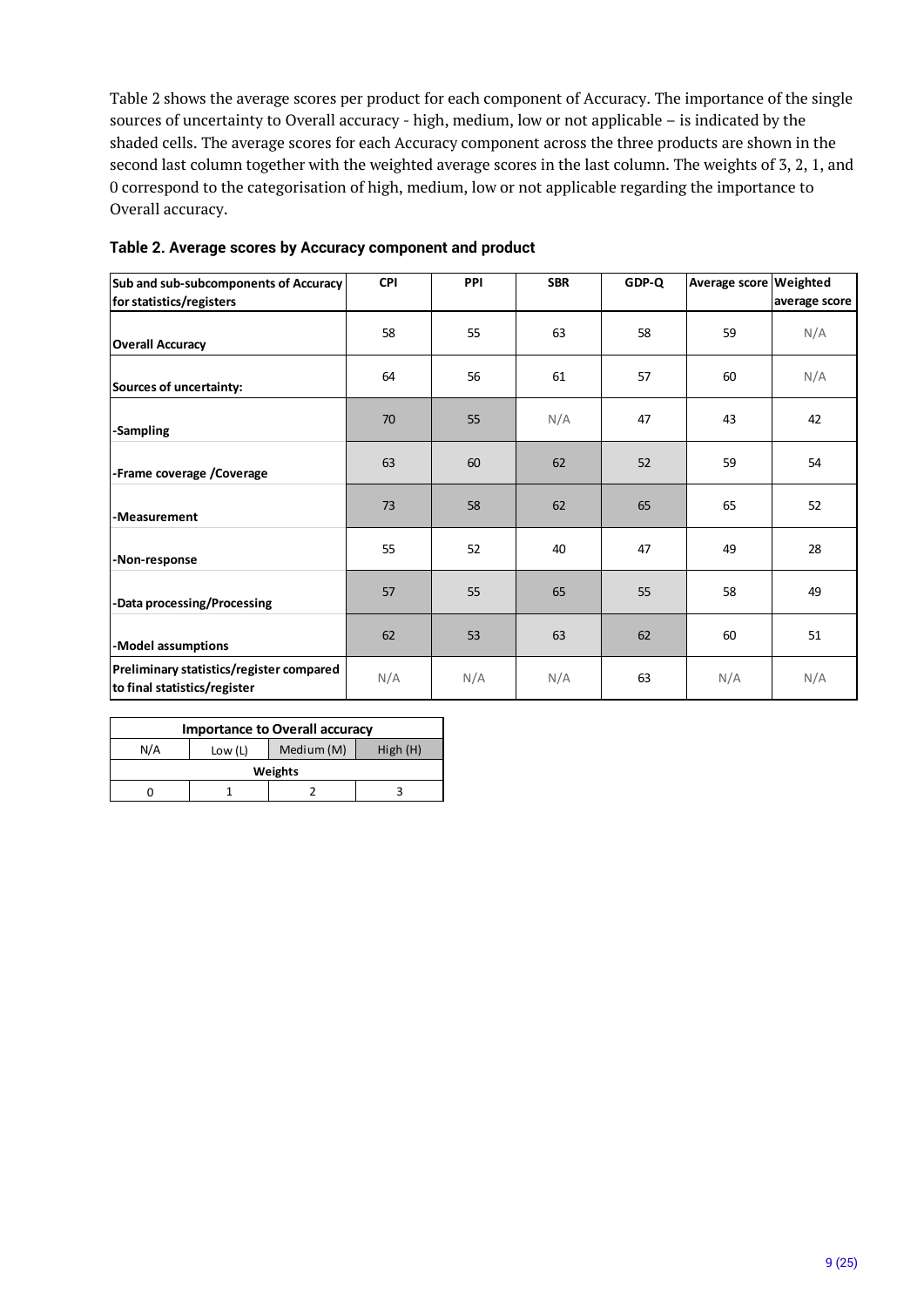Table 2 shows the average scores per product for each component of Accuracy. The importance of the single sources of uncertainty to Overall accuracy - high, medium, low or not applicable – is indicated by the shaded cells. The average scores for each Accuracy component across the three products are shown in the second last column together with the weighted average scores in the last column. The weights of 3, 2, 1, and 0 correspond to the categorisation of high, medium, low or not applicable regarding the importance to Overall accuracy.

| Sub and sub-subcomponents of Accuracy                                    | <b>CPI</b> | <b>PPI</b> | <b>SBR</b> | GDP-Q | Average score Weighted |               |
|--------------------------------------------------------------------------|------------|------------|------------|-------|------------------------|---------------|
| for statistics/registers                                                 |            |            |            |       |                        | average score |
| <b>Overall Accuracy</b>                                                  | 58         | 55         | 63         | 58    | 59                     | N/A           |
| Sources of uncertainty:                                                  | 64         | 56         | 61         | 57    | 60                     | N/A           |
| <b>Sampling</b>                                                          | 70         | 55         | N/A        | 47    | 43                     | 42            |
| -Frame coverage /Coverage                                                | 63         | 60         | 62         | 52    | 59                     | 54            |
| -Measurement                                                             | 73         | 58         | 62         | 65    | 65                     | 52            |
| -Non-response                                                            | 55         | 52         | 40         | 47    | 49                     | 28            |
| Data processing/Processing                                               | 57         | 55         | 65         | 55    | 58                     | 49            |
| -Model assumptions                                                       | 62         | 53         | 63         | 62    | 60                     | 51            |
| Preliminary statistics/register compared<br>to final statistics/register | N/A        | N/A        | N/A        | 63    | N/A                    | N/A           |

#### **Table 2. Average scores by Accuracy component and product**

| <b>Importance to Overall accuracy</b>   |         |  |  |  |  |  |  |  |  |  |  |
|-----------------------------------------|---------|--|--|--|--|--|--|--|--|--|--|
| Medium (M)<br>N/A<br>High(H)<br>Low (L) |         |  |  |  |  |  |  |  |  |  |  |
|                                         | Weights |  |  |  |  |  |  |  |  |  |  |
|                                         |         |  |  |  |  |  |  |  |  |  |  |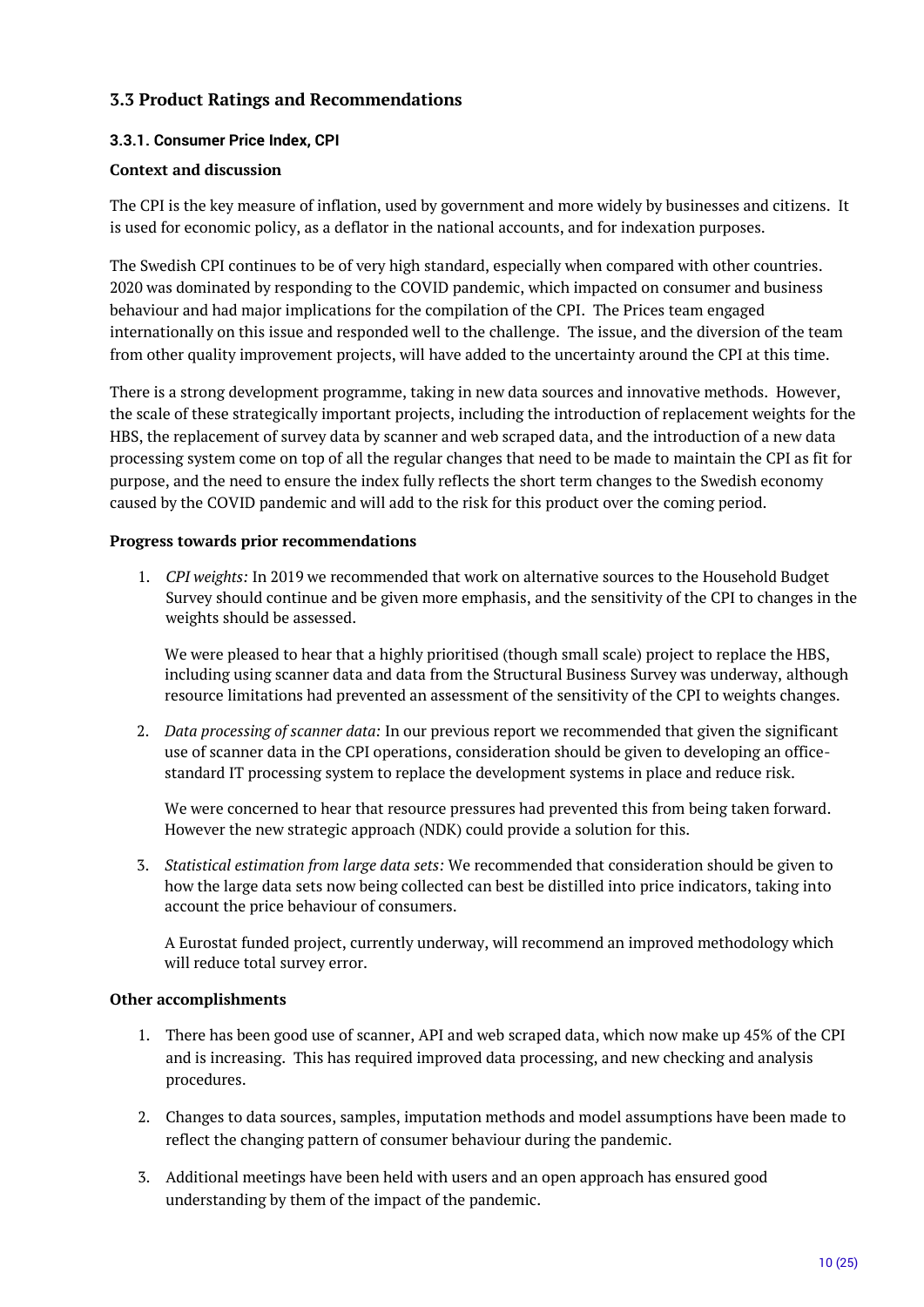## <span id="page-9-0"></span>**3.3 Product Ratings and Recommendations**

#### <span id="page-9-1"></span>**3.3.1. Consumer Price Index, CPI**

#### **Context and discussion**

The CPI is the key measure of inflation, used by government and more widely by businesses and citizens. It is used for economic policy, as a deflator in the national accounts, and for indexation purposes.

The Swedish CPI continues to be of very high standard, especially when compared with other countries. 2020 was dominated by responding to the COVID pandemic, which impacted on consumer and business behaviour and had major implications for the compilation of the CPI. The Prices team engaged internationally on this issue and responded well to the challenge. The issue, and the diversion of the team from other quality improvement projects, will have added to the uncertainty around the CPI at this time.

There is a strong development programme, taking in new data sources and innovative methods. However, the scale of these strategically important projects, including the introduction of replacement weights for the HBS, the replacement of survey data by scanner and web scraped data, and the introduction of a new data processing system come on top of all the regular changes that need to be made to maintain the CPI as fit for purpose, and the need to ensure the index fully reflects the short term changes to the Swedish economy caused by the COVID pandemic and will add to the risk for this product over the coming period.

#### **Progress towards prior recommendations**

1. *CPI weights:* In 2019 we recommended that work on alternative sources to the Household Budget Survey should continue and be given more emphasis, and the sensitivity of the CPI to changes in the weights should be assessed.

We were pleased to hear that a highly prioritised (though small scale) project to replace the HBS, including using scanner data and data from the Structural Business Survey was underway, although resource limitations had prevented an assessment of the sensitivity of the CPI to weights changes.

2. *Data processing of scanner data:* In our previous report we recommended that given the significant use of scanner data in the CPI operations, consideration should be given to developing an officestandard IT processing system to replace the development systems in place and reduce risk.

We were concerned to hear that resource pressures had prevented this from being taken forward. However the new strategic approach (NDK) could provide a solution for this.

3. *Statistical estimation from large data sets:* We recommended that consideration should be given to how the large data sets now being collected can best be distilled into price indicators, taking into account the price behaviour of consumers.

A Eurostat funded project, currently underway, will recommend an improved methodology which will reduce total survey error.

#### **Other accomplishments**

- 1. There has been good use of scanner, API and web scraped data, which now make up 45% of the CPI and is increasing. This has required improved data processing, and new checking and analysis procedures.
- 2. Changes to data sources, samples, imputation methods and model assumptions have been made to reflect the changing pattern of consumer behaviour during the pandemic.
- 3. Additional meetings have been held with users and an open approach has ensured good understanding by them of the impact of the pandemic.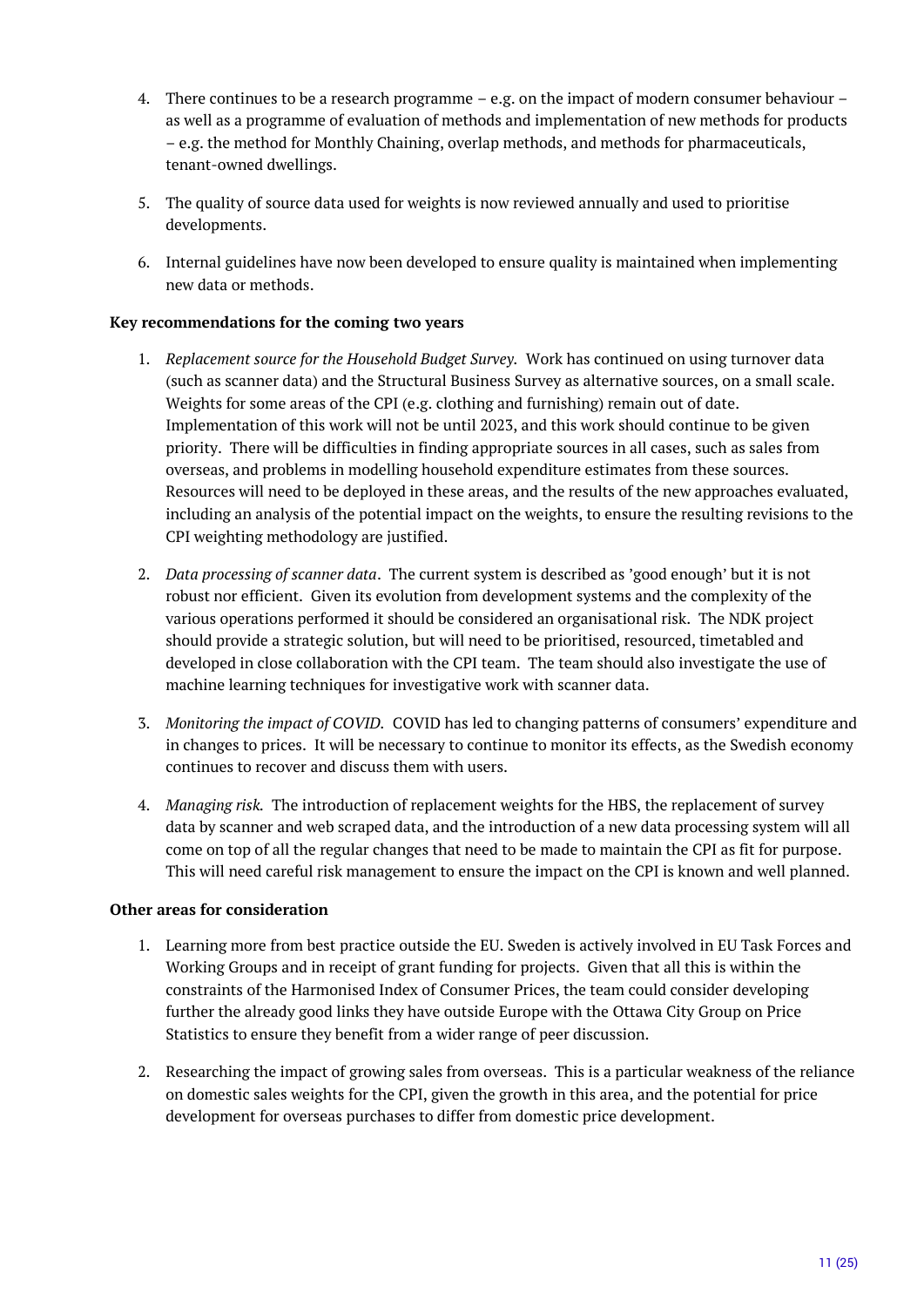- 4. There continues to be a research programme e.g. on the impact of modern consumer behaviour as well as a programme of evaluation of methods and implementation of new methods for products – e.g. the method for Monthly Chaining, overlap methods, and methods for pharmaceuticals, tenant-owned dwellings.
- 5. The quality of source data used for weights is now reviewed annually and used to prioritise developments.
- 6. Internal guidelines have now been developed to ensure quality is maintained when implementing new data or methods.

#### **Key recommendations for the coming two years**

- 1. *Replacement source for the Household Budget Survey.* Work has continued on using turnover data (such as scanner data) and the Structural Business Survey as alternative sources, on a small scale. Weights for some areas of the CPI (e.g. clothing and furnishing) remain out of date. Implementation of this work will not be until 2023, and this work should continue to be given priority. There will be difficulties in finding appropriate sources in all cases, such as sales from overseas, and problems in modelling household expenditure estimates from these sources. Resources will need to be deployed in these areas, and the results of the new approaches evaluated, including an analysis of the potential impact on the weights, to ensure the resulting revisions to the CPI weighting methodology are justified.
- 2. *Data processing of scanner data*. The current system is described as 'good enough' but it is not robust nor efficient. Given its evolution from development systems and the complexity of the various operations performed it should be considered an organisational risk. The NDK project should provide a strategic solution, but will need to be prioritised, resourced, timetabled and developed in close collaboration with the CPI team. The team should also investigate the use of machine learning techniques for investigative work with scanner data.
- 3. *Monitoring the impact of COVID.* COVID has led to changing patterns of consumers' expenditure and in changes to prices. It will be necessary to continue to monitor its effects, as the Swedish economy continues to recover and discuss them with users.
- 4. *Managing risk.* The introduction of replacement weights for the HBS, the replacement of survey data by scanner and web scraped data, and the introduction of a new data processing system will all come on top of all the regular changes that need to be made to maintain the CPI as fit for purpose. This will need careful risk management to ensure the impact on the CPI is known and well planned.

#### **Other areas for consideration**

- 1. Learning more from best practice outside the EU. Sweden is actively involved in EU Task Forces and Working Groups and in receipt of grant funding for projects. Given that all this is within the constraints of the Harmonised Index of Consumer Prices, the team could consider developing further the already good links they have outside Europe with the Ottawa City Group on Price Statistics to ensure they benefit from a wider range of peer discussion.
- 2. Researching the impact of growing sales from overseas. This is a particular weakness of the reliance on domestic sales weights for the CPI, given the growth in this area, and the potential for price development for overseas purchases to differ from domestic price development.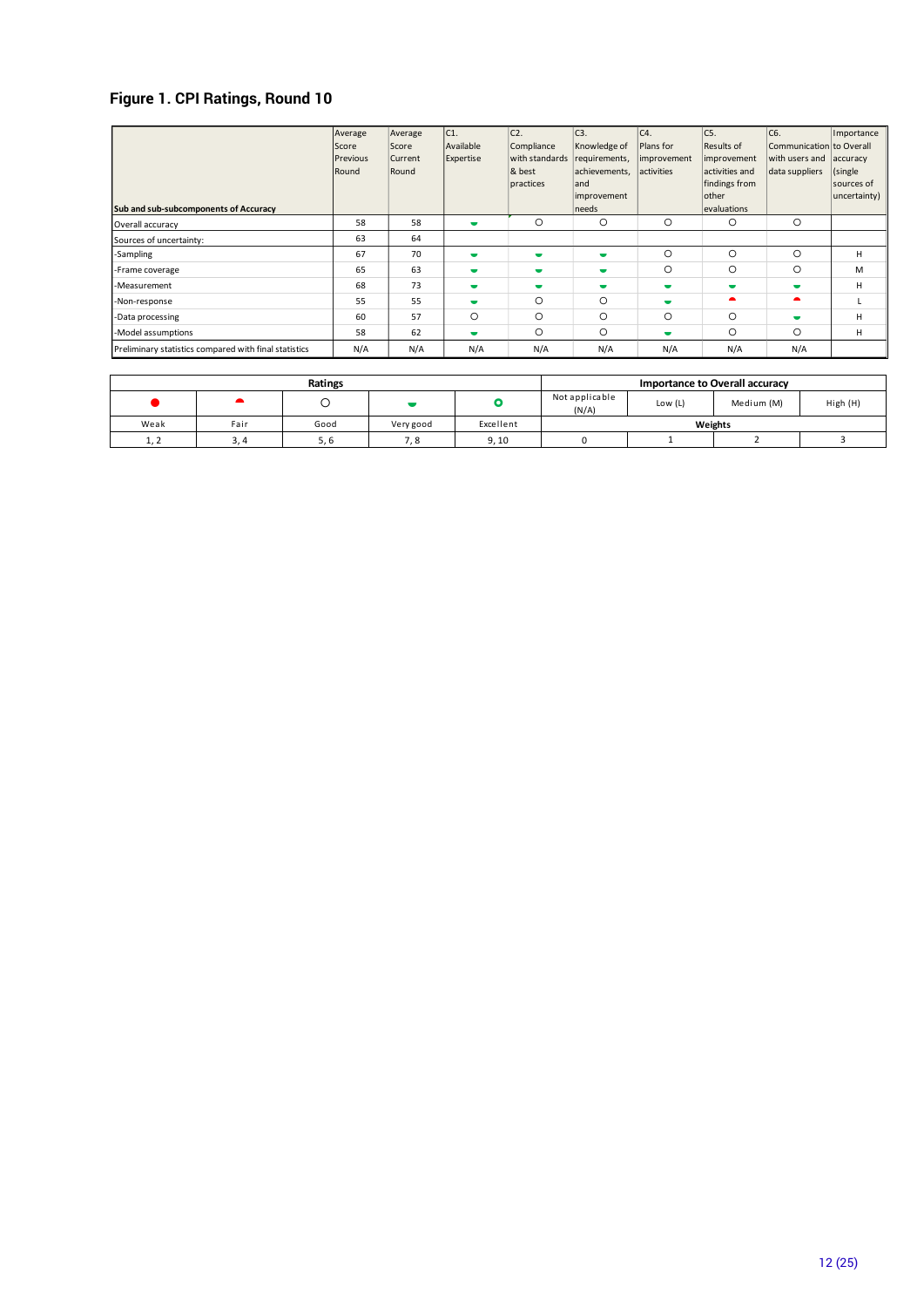# **Figure 1. CPI Ratings, Round 10**

| Sub and sub-subcomponents of Accuracy                 | Average<br>Score<br>Previous<br>Round | Average<br>Score<br>Current<br>Round | C <sub>1</sub><br>Available<br>Expertise | $ c2$ .<br>Compliance<br>with standards<br>& best<br>practices | C <sub>3</sub> .<br>Knowledge of<br>requirements,<br>achievements,<br>land<br>improvement<br>needs | C <sub>4</sub><br>Plans for<br>improvement<br>activities | C5.<br>Results of<br>improvement<br>activities and<br>findings from<br>other<br>evaluations | C6.<br>Communication to Overall<br>with users and<br>data suppliers | Importance<br>accuracy<br>(single)<br>sources of<br>uncertainty) |
|-------------------------------------------------------|---------------------------------------|--------------------------------------|------------------------------------------|----------------------------------------------------------------|----------------------------------------------------------------------------------------------------|----------------------------------------------------------|---------------------------------------------------------------------------------------------|---------------------------------------------------------------------|------------------------------------------------------------------|
| Overall accuracy                                      | 58                                    | 58                                   | $\blacksquare$                           | O                                                              | $\circ$                                                                                            | $\circ$                                                  | $\circ$                                                                                     | $\circ$                                                             |                                                                  |
| Sources of uncertainty:                               | 63                                    | 64                                   |                                          |                                                                |                                                                                                    |                                                          |                                                                                             |                                                                     |                                                                  |
| -Sampling                                             | 67                                    | 70                                   | $\overline{\phantom{a}}$                 | $\overline{\phantom{a}}$                                       | $\overline{\phantom{a}}$                                                                           | $\circ$                                                  | $\circ$                                                                                     | O                                                                   | H                                                                |
| -Frame coverage                                       | 65                                    | 63                                   | $\overline{\phantom{a}}$                 | $\blacksquare$                                                 | $\overline{\phantom{a}}$                                                                           | $\circ$                                                  | $\circ$                                                                                     | O                                                                   | M                                                                |
| -Measurement                                          | 68                                    | 73                                   | $\overline{\phantom{a}}$                 | ٠                                                              | $\overline{\phantom{a}}$                                                                           | $\overline{\phantom{a}}$                                 | $\overline{\phantom{a}}$                                                                    |                                                                     | H                                                                |
| -Non-response                                         | 55                                    | 55                                   | $\blacksquare$                           | O                                                              | $\circ$                                                                                            | ٠                                                        |                                                                                             |                                                                     |                                                                  |
| -Data processing                                      | 60                                    | 57                                   | $\circ$                                  | O                                                              | $\circ$                                                                                            | $\circ$                                                  | $\circ$                                                                                     |                                                                     | н                                                                |
| -Model assumptions                                    | 58                                    | 62                                   | $\overline{\phantom{a}}$                 | O                                                              | $\circ$                                                                                            | $\overline{\phantom{a}}$                                 | $\circ$                                                                                     | O                                                                   | H                                                                |
| Preliminary statistics compared with final statistics | N/A                                   | N/A                                  | N/A                                      | N/A                                                            | N/A                                                                                                | N/A                                                      | N/A                                                                                         | N/A                                                                 |                                                                  |

|      |      | Ratings |           | Importance to Overall accuracy |                         |           |            |          |  |
|------|------|---------|-----------|--------------------------------|-------------------------|-----------|------------|----------|--|
|      |      |         |           |                                | Not applicable<br>(N/A) | Low $(L)$ | Medium (M) | High (H) |  |
| Weak | Fair | Good    | Very good | Excellent                      |                         | Weights   |            |          |  |
| 1.2  |      |         |           | 9.10                           |                         |           |            |          |  |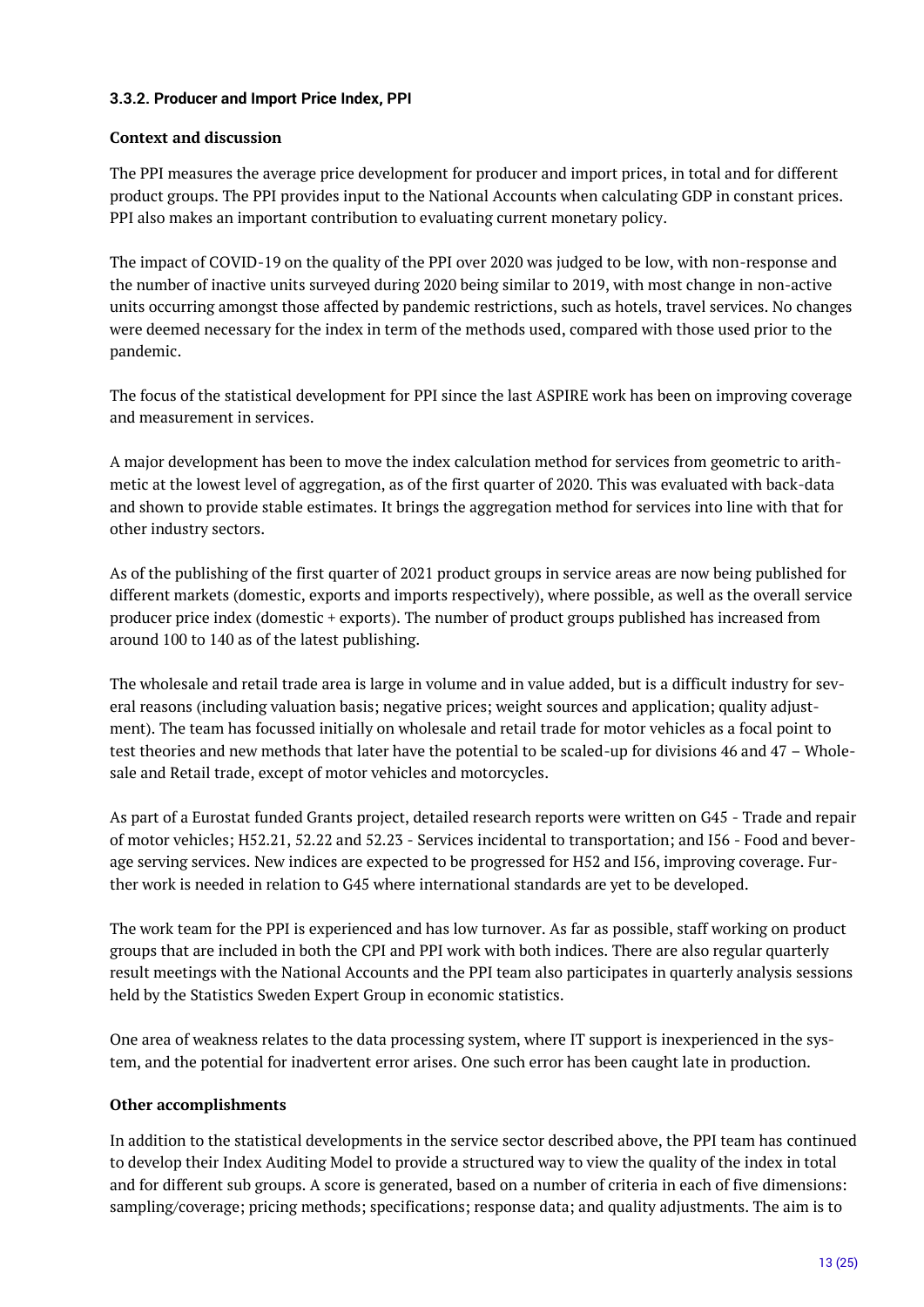#### <span id="page-12-0"></span>**3.3.2. Producer and Import Price Index, PPI**

#### **Context and discussion**

The PPI measures the average price development for producer and import prices, in total and for different product groups. The PPI provides input to the National Accounts when calculating GDP in constant prices. PPI also makes an important contribution to evaluating current monetary policy.

The impact of COVID-19 on the quality of the PPI over 2020 was judged to be low, with non-response and the number of inactive units surveyed during 2020 being similar to 2019, with most change in non-active units occurring amongst those affected by pandemic restrictions, such as hotels, travel services. No changes were deemed necessary for the index in term of the methods used, compared with those used prior to the pandemic.

The focus of the statistical development for PPI since the last ASPIRE work has been on improving coverage and measurement in services.

A major development has been to move the index calculation method for services from geometric to arithmetic at the lowest level of aggregation, as of the first quarter of 2020. This was evaluated with back-data and shown to provide stable estimates. It brings the aggregation method for services into line with that for other industry sectors.

As of the publishing of the first quarter of 2021 product groups in service areas are now being published for different markets (domestic, exports and imports respectively), where possible, as well as the overall service producer price index (domestic + exports). The number of product groups published has increased from around 100 to 140 as of the latest publishing.

The wholesale and retail trade area is large in volume and in value added, but is a difficult industry for several reasons (including valuation basis; negative prices; weight sources and application; quality adjustment). The team has focussed initially on wholesale and retail trade for motor vehicles as a focal point to test theories and new methods that later have the potential to be scaled-up for divisions 46 and 47 – Wholesale and Retail trade, except of motor vehicles and motorcycles.

As part of a Eurostat funded Grants project, detailed research reports were written on G45 - Trade and repair of motor vehicles; H52.21, 52.22 and 52.23 - Services incidental to transportation; and I56 - Food and beverage serving services. New indices are expected to be progressed for H52 and I56, improving coverage. Further work is needed in relation to G45 where international standards are yet to be developed.

The work team for the PPI is experienced and has low turnover. As far as possible, staff working on product groups that are included in both the CPI and PPI work with both indices. There are also regular quarterly result meetings with the National Accounts and the PPI team also participates in quarterly analysis sessions held by the Statistics Sweden Expert Group in economic statistics.

One area of weakness relates to the data processing system, where IT support is inexperienced in the system, and the potential for inadvertent error arises. One such error has been caught late in production.

#### **Other accomplishments**

In addition to the statistical developments in the service sector described above, the PPI team has continued to develop their Index Auditing Model to provide a structured way to view the quality of the index in total and for different sub groups. A score is generated, based on a number of criteria in each of five dimensions: sampling/coverage; pricing methods; specifications; response data; and quality adjustments. The aim is to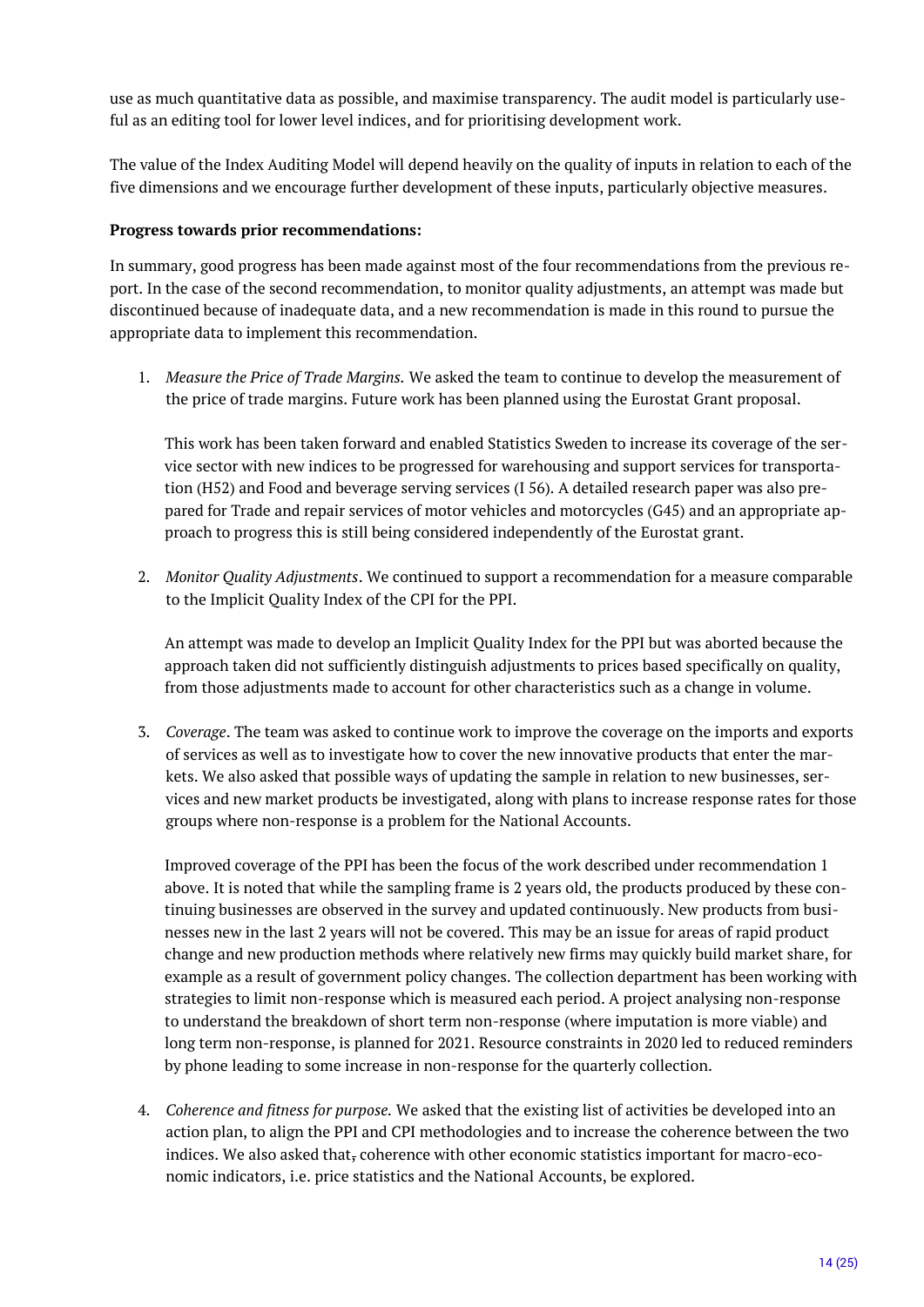use as much quantitative data as possible, and maximise transparency. The audit model is particularly useful as an editing tool for lower level indices, and for prioritising development work.

The value of the Index Auditing Model will depend heavily on the quality of inputs in relation to each of the five dimensions and we encourage further development of these inputs, particularly objective measures.

#### **Progress towards prior recommendations:**

In summary, good progress has been made against most of the four recommendations from the previous report. In the case of the second recommendation, to monitor quality adjustments, an attempt was made but discontinued because of inadequate data, and a new recommendation is made in this round to pursue the appropriate data to implement this recommendation.

1. *Measure the Price of Trade Margins.* We asked the team to continue to develop the measurement of the price of trade margins. Future work has been planned using the Eurostat Grant proposal.

This work has been taken forward and enabled Statistics Sweden to increase its coverage of the service sector with new indices to be progressed for warehousing and support services for transportation (H52) and Food and beverage serving services (I 56). A detailed research paper was also prepared for Trade and repair services of motor vehicles and motorcycles (G45) and an appropriate approach to progress this is still being considered independently of the Eurostat grant.

2. *Monitor Quality Adjustments*. We continued to support a recommendation for a measure comparable to the Implicit Quality Index of the CPI for the PPI.

An attempt was made to develop an Implicit Quality Index for the PPI but was aborted because the approach taken did not sufficiently distinguish adjustments to prices based specifically on quality, from those adjustments made to account for other characteristics such as a change in volume.

3. *Coverage*. The team was asked to continue work to improve the coverage on the imports and exports of services as well as to investigate how to cover the new innovative products that enter the markets. We also asked that possible ways of updating the sample in relation to new businesses, services and new market products be investigated, along with plans to increase response rates for those groups where non-response is a problem for the National Accounts.

Improved coverage of the PPI has been the focus of the work described under recommendation 1 above. It is noted that while the sampling frame is 2 years old, the products produced by these continuing businesses are observed in the survey and updated continuously. New products from businesses new in the last 2 years will not be covered. This may be an issue for areas of rapid product change and new production methods where relatively new firms may quickly build market share, for example as a result of government policy changes. The collection department has been working with strategies to limit non-response which is measured each period. A project analysing non-response to understand the breakdown of short term non-response (where imputation is more viable) and long term non-response, is planned for 2021. Resource constraints in 2020 led to reduced reminders by phone leading to some increase in non-response for the quarterly collection.

4. *Coherence and fitness for purpose.* We asked that the existing list of activities be developed into an action plan, to align the PPI and CPI methodologies and to increase the coherence between the two indices. We also asked that, coherence with other economic statistics important for macro-economic indicators, i.e. price statistics and the National Accounts, be explored.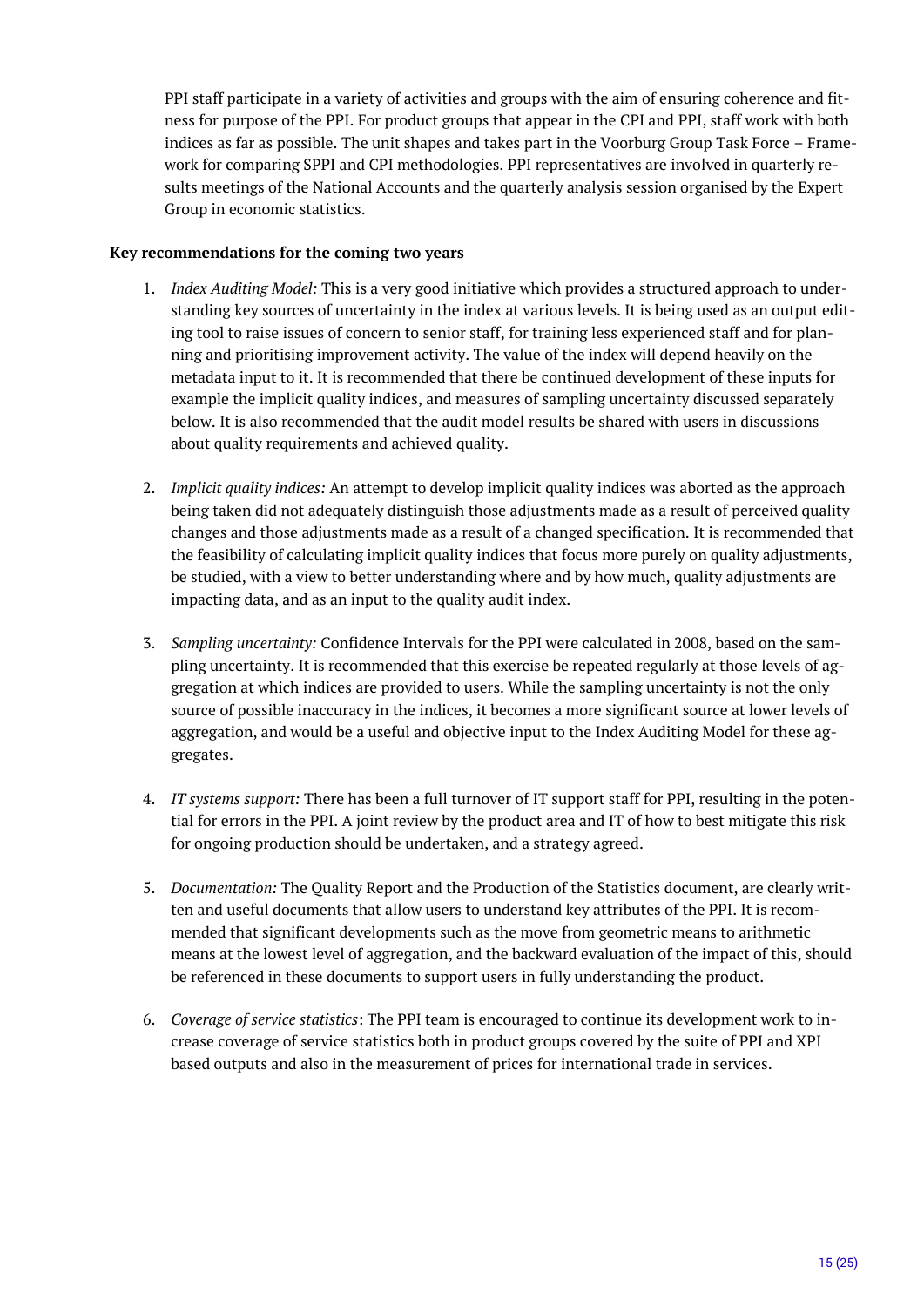PPI staff participate in a variety of activities and groups with the aim of ensuring coherence and fitness for purpose of the PPI. For product groups that appear in the CPI and PPI, staff work with both indices as far as possible. The unit shapes and takes part in the Voorburg Group Task Force – Framework for comparing SPPI and CPI methodologies. PPI representatives are involved in quarterly results meetings of the National Accounts and the quarterly analysis session organised by the Expert Group in economic statistics.

#### **Key recommendations for the coming two years**

- 1. *Index Auditing Model:* This is a very good initiative which provides a structured approach to understanding key sources of uncertainty in the index at various levels. It is being used as an output editing tool to raise issues of concern to senior staff, for training less experienced staff and for planning and prioritising improvement activity. The value of the index will depend heavily on the metadata input to it. It is recommended that there be continued development of these inputs for example the implicit quality indices, and measures of sampling uncertainty discussed separately below. It is also recommended that the audit model results be shared with users in discussions about quality requirements and achieved quality.
- 2. *Implicit quality indices:* An attempt to develop implicit quality indices was aborted as the approach being taken did not adequately distinguish those adjustments made as a result of perceived quality changes and those adjustments made as a result of a changed specification. It is recommended that the feasibility of calculating implicit quality indices that focus more purely on quality adjustments, be studied, with a view to better understanding where and by how much, quality adjustments are impacting data, and as an input to the quality audit index.
- 3. *Sampling uncertainty:* Confidence Intervals for the PPI were calculated in 2008, based on the sampling uncertainty. It is recommended that this exercise be repeated regularly at those levels of aggregation at which indices are provided to users. While the sampling uncertainty is not the only source of possible inaccuracy in the indices, it becomes a more significant source at lower levels of aggregation, and would be a useful and objective input to the Index Auditing Model for these aggregates.
- 4. *IT systems support:* There has been a full turnover of IT support staff for PPI, resulting in the potential for errors in the PPI. A joint review by the product area and IT of how to best mitigate this risk for ongoing production should be undertaken, and a strategy agreed.
- 5. *Documentation:* The Quality Report and the Production of the Statistics document, are clearly written and useful documents that allow users to understand key attributes of the PPI. It is recommended that significant developments such as the move from geometric means to arithmetic means at the lowest level of aggregation, and the backward evaluation of the impact of this, should be referenced in these documents to support users in fully understanding the product.
- 6. *Coverage of service statistics*: The PPI team is encouraged to continue its development work to increase coverage of service statistics both in product groups covered by the suite of PPI and XPI based outputs and also in the measurement of prices for international trade in services.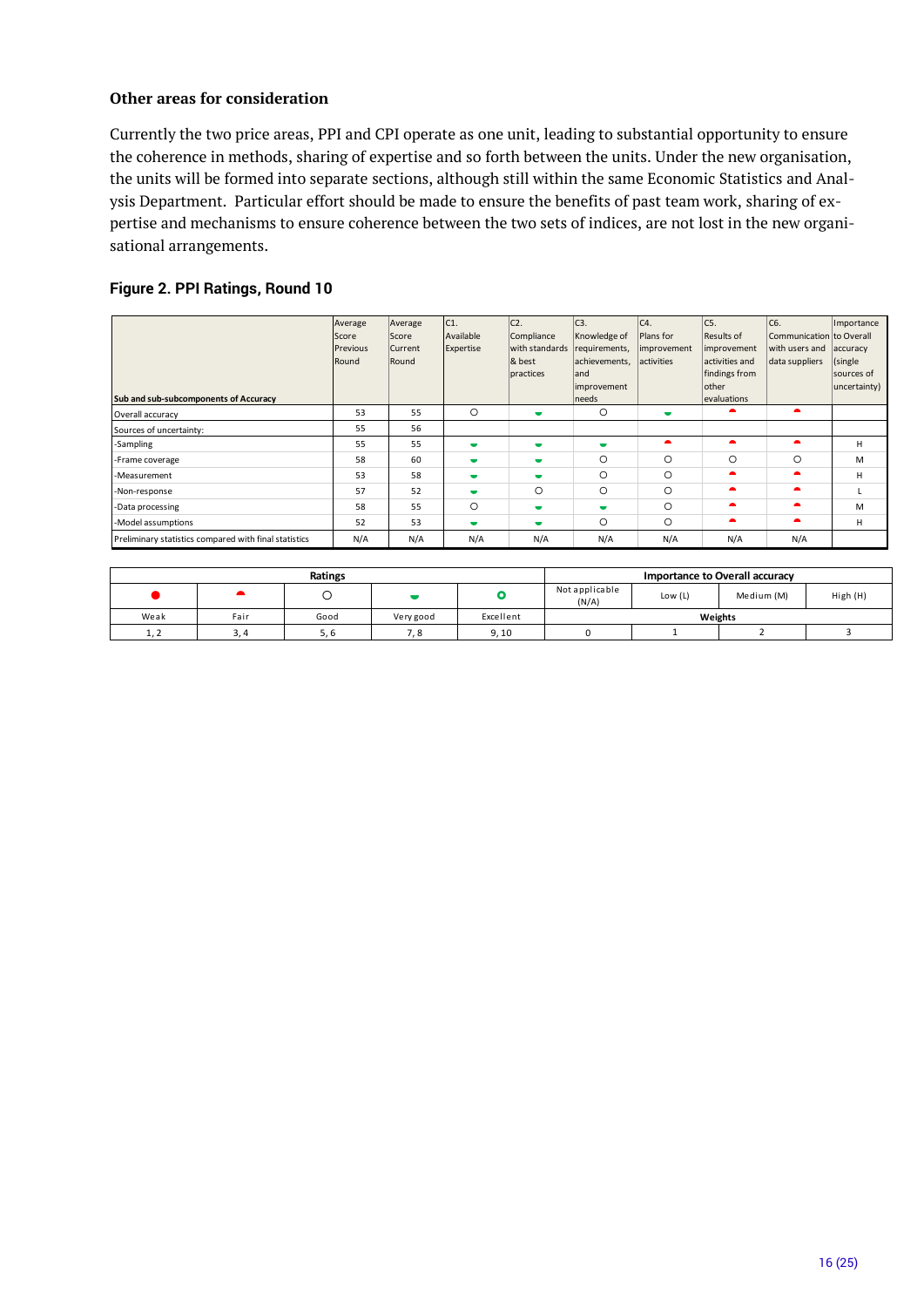#### **Other areas for consideration**

Currently the two price areas, PPI and CPI operate as one unit, leading to substantial opportunity to ensure the coherence in methods, sharing of expertise and so forth between the units. Under the new organisation, the units will be formed into separate sections, although still within the same Economic Statistics and Analysis Department. Particular effort should be made to ensure the benefits of past team work, sharing of expertise and mechanisms to ensure coherence between the two sets of indices, are not lost in the new organisational arrangements.

#### **Figure 2. PPI Ratings, Round 10**

| Sub and sub-subcomponents of Accuracy                 | Average<br>Score<br><b>IPrevious</b><br>Round | Average<br>Score<br>Current<br>Round | C <sub>1</sub><br>Available<br>Expertise | $C2$ .<br>Compliance<br>with standards<br>& best<br>practices | C <sub>3</sub> .<br>Knowledge of<br>requirements,<br>achievements,<br>land<br>improvement<br>needs | C4.<br>Plans for<br>improvement<br>activities | $\overline{C5}$ .<br>Results of<br>improvement<br>activities and<br>findings from<br>other<br>evaluations | C6.<br>Communication to Overall<br>with users and accuracy<br>data suppliers | Importance<br>(single)<br>sources of<br>uncertainty) |
|-------------------------------------------------------|-----------------------------------------------|--------------------------------------|------------------------------------------|---------------------------------------------------------------|----------------------------------------------------------------------------------------------------|-----------------------------------------------|-----------------------------------------------------------------------------------------------------------|------------------------------------------------------------------------------|------------------------------------------------------|
| Overall accuracy                                      | 53                                            | 55                                   | $\circ$                                  | $\overline{\phantom{a}}$                                      | $\circ$                                                                                            | $\blacksquare$                                |                                                                                                           | ▴                                                                            |                                                      |
| Sources of uncertainty:                               | 55                                            | 56                                   |                                          |                                                               |                                                                                                    |                                               |                                                                                                           |                                                                              |                                                      |
| -Sampling                                             | 55                                            | 55                                   | $\overline{\phantom{a}}$                 | $\blacksquare$                                                | $\blacksquare$                                                                                     | ▲                                             |                                                                                                           | ▲                                                                            | н                                                    |
| -Frame coverage                                       | 58                                            | 60                                   | $\overline{\phantom{a}}$                 | $\overline{\phantom{a}}$                                      | O                                                                                                  | $\circ$                                       | $\circ$                                                                                                   | $\circ$                                                                      | м                                                    |
| -Measurement                                          | 53                                            | 58                                   | $\blacksquare$                           | $\overline{\phantom{a}}$                                      | $\circ$                                                                                            | $\circ$                                       |                                                                                                           |                                                                              | н                                                    |
| -Non-response                                         | 57                                            | 52                                   | $\overline{\phantom{a}}$                 | $\circ$                                                       | $\circ$                                                                                            | $\circ$                                       |                                                                                                           |                                                                              |                                                      |
| -Data processing                                      | 58                                            | 55                                   | $\circ$                                  | $\blacksquare$                                                | $\blacksquare$                                                                                     | $\circ$                                       |                                                                                                           |                                                                              | м                                                    |
| -Model assumptions                                    | 52                                            | 53                                   | $\overline{\phantom{a}}$                 | $\blacksquare$                                                | $\circ$                                                                                            | $\circ$                                       |                                                                                                           | ▲                                                                            | н                                                    |
| Preliminary statistics compared with final statistics | N/A                                           | N/A                                  | N/A                                      | N/A                                                           | N/A                                                                                                | N/A                                           | N/A                                                                                                       | N/A                                                                          |                                                      |

|            |      | Ratings |           |           |                         | <b>Importance to Overall accuracy</b> |            |          |
|------------|------|---------|-----------|-----------|-------------------------|---------------------------------------|------------|----------|
|            |      |         |           |           | Not applicable<br>(N/A) | Low $(L)$                             | Medium (M) | High (H) |
| Weak       | Fair | Good    | Very good | Excellent | Weights                 |                                       |            |          |
| <b>1.Z</b> | 3.4  | 5.6     | 7.8       | 9.10      |                         |                                       |            |          |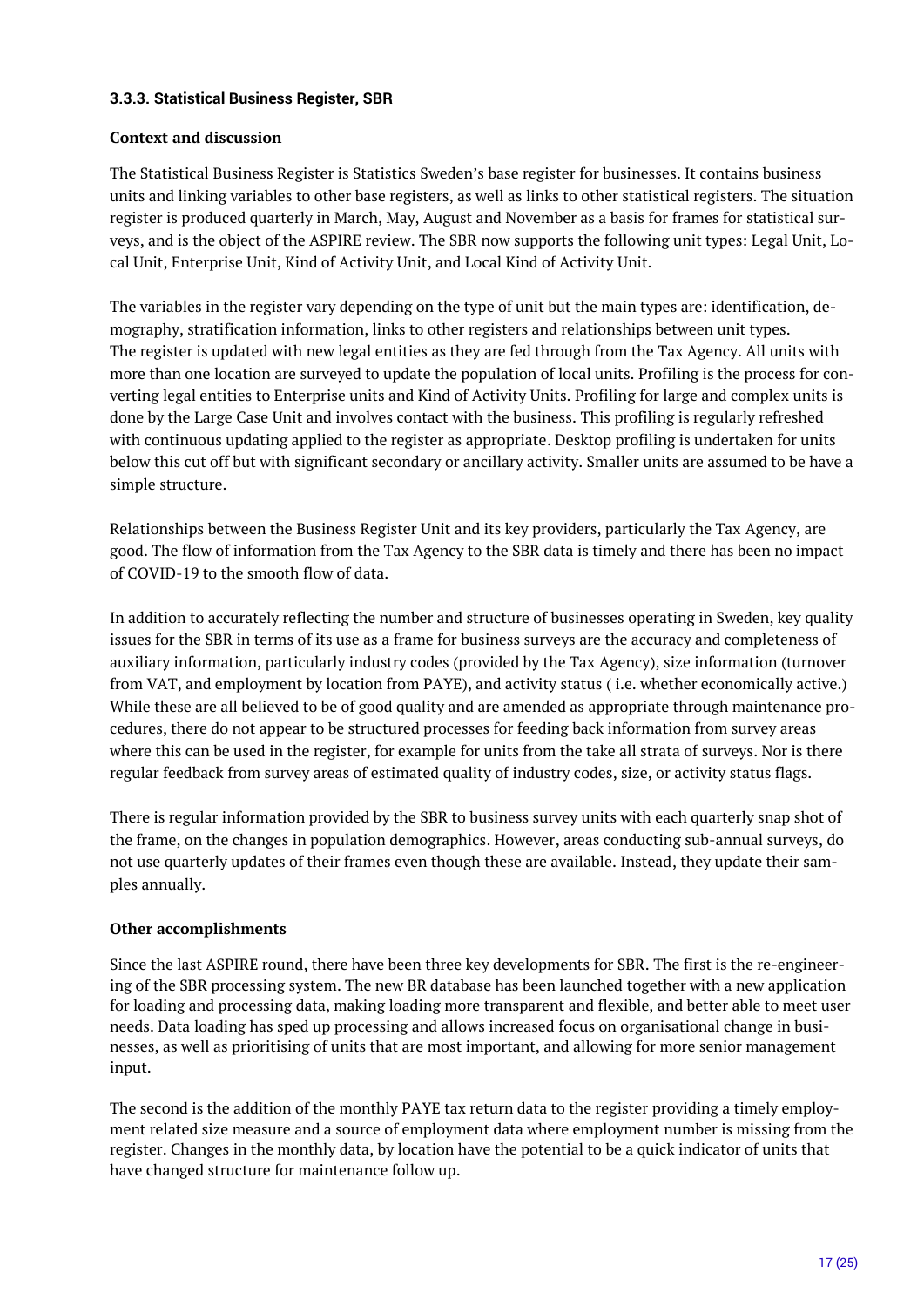#### <span id="page-16-0"></span>**3.3.3. Statistical Business Register, SBR**

#### **Context and discussion**

The Statistical Business Register is Statistics Sweden's base register for businesses. It contains business units and linking variables to other base registers, as well as links to other statistical registers. The situation register is produced quarterly in March, May, August and November as a basis for frames for statistical surveys, and is the object of the ASPIRE review. The SBR now supports the following unit types: Legal Unit, Local Unit, Enterprise Unit, Kind of Activity Unit, and Local Kind of Activity Unit.

The variables in the register vary depending on the type of unit but the main types are: identification, demography, stratification information, links to other registers and relationships between unit types. The register is updated with new legal entities as they are fed through from the Tax Agency. All units with more than one location are surveyed to update the population of local units. Profiling is the process for converting legal entities to Enterprise units and Kind of Activity Units. Profiling for large and complex units is done by the Large Case Unit and involves contact with the business. This profiling is regularly refreshed with continuous updating applied to the register as appropriate. Desktop profiling is undertaken for units below this cut off but with significant secondary or ancillary activity. Smaller units are assumed to be have a simple structure.

Relationships between the Business Register Unit and its key providers, particularly the Tax Agency, are good. The flow of information from the Tax Agency to the SBR data is timely and there has been no impact of COVID-19 to the smooth flow of data.

In addition to accurately reflecting the number and structure of businesses operating in Sweden, key quality issues for the SBR in terms of its use as a frame for business surveys are the accuracy and completeness of auxiliary information, particularly industry codes (provided by the Tax Agency), size information (turnover from VAT, and employment by location from PAYE), and activity status ( i.e. whether economically active.) While these are all believed to be of good quality and are amended as appropriate through maintenance procedures, there do not appear to be structured processes for feeding back information from survey areas where this can be used in the register, for example for units from the take all strata of surveys. Nor is there regular feedback from survey areas of estimated quality of industry codes, size, or activity status flags.

There is regular information provided by the SBR to business survey units with each quarterly snap shot of the frame, on the changes in population demographics. However, areas conducting sub-annual surveys, do not use quarterly updates of their frames even though these are available. Instead, they update their samples annually.

#### **Other accomplishments**

Since the last ASPIRE round, there have been three key developments for SBR. The first is the re-engineering of the SBR processing system. The new BR database has been launched together with a new application for loading and processing data, making loading more transparent and flexible, and better able to meet user needs. Data loading has sped up processing and allows increased focus on organisational change in businesses, as well as prioritising of units that are most important, and allowing for more senior management input.

The second is the addition of the monthly PAYE tax return data to the register providing a timely employment related size measure and a source of employment data where employment number is missing from the register. Changes in the monthly data, by location have the potential to be a quick indicator of units that have changed structure for maintenance follow up.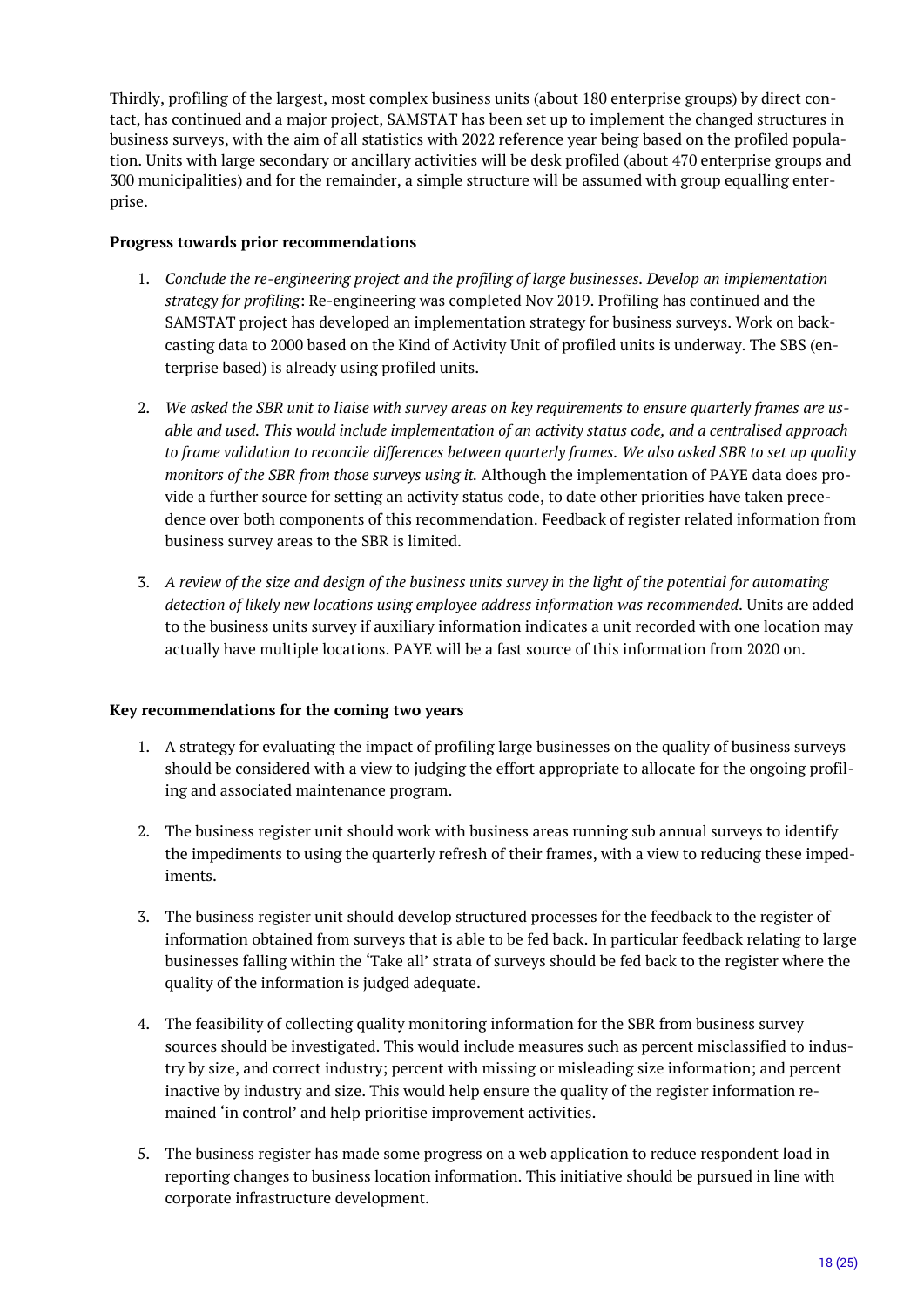Thirdly, profiling of the largest, most complex business units (about 180 enterprise groups) by direct contact, has continued and a major project, SAMSTAT has been set up to implement the changed structures in business surveys, with the aim of all statistics with 2022 reference year being based on the profiled population. Units with large secondary or ancillary activities will be desk profiled (about 470 enterprise groups and 300 municipalities) and for the remainder, a simple structure will be assumed with group equalling enterprise.

#### **Progress towards prior recommendations**

- 1. *Conclude the re-engineering project and the profiling of large businesses. Develop an implementation strategy for profiling*: Re-engineering was completed Nov 2019. Profiling has continued and the SAMSTAT project has developed an implementation strategy for business surveys. Work on backcasting data to 2000 based on the Kind of Activity Unit of profiled units is underway. The SBS (enterprise based) is already using profiled units.
- 2. *We asked the SBR unit to liaise with survey areas on key requirements to ensure quarterly frames are usable and used. This would include implementation of an activity status code, and a centralised approach to frame validation to reconcile differences between quarterly frames. We also asked SBR to set up quality monitors of the SBR from those surveys using it.* Although the implementation of PAYE data does provide a further source for setting an activity status code, to date other priorities have taken precedence over both components of this recommendation. Feedback of register related information from business survey areas to the SBR is limited.
- 3. *A review of the size and design of the business units survey in the light of the potential for automating detection of likely new locations using employee address information was recommended*. Units are added to the business units survey if auxiliary information indicates a unit recorded with one location may actually have multiple locations. PAYE will be a fast source of this information from 2020 on.

#### **Key recommendations for the coming two years**

- 1. A strategy for evaluating the impact of profiling large businesses on the quality of business surveys should be considered with a view to judging the effort appropriate to allocate for the ongoing profiling and associated maintenance program.
- 2. The business register unit should work with business areas running sub annual surveys to identify the impediments to using the quarterly refresh of their frames, with a view to reducing these impediments.
- 3. The business register unit should develop structured processes for the feedback to the register of information obtained from surveys that is able to be fed back. In particular feedback relating to large businesses falling within the 'Take all' strata of surveys should be fed back to the register where the quality of the information is judged adequate.
- 4. The feasibility of collecting quality monitoring information for the SBR from business survey sources should be investigated. This would include measures such as percent misclassified to industry by size, and correct industry; percent with missing or misleading size information; and percent inactive by industry and size. This would help ensure the quality of the register information remained 'in control' and help prioritise improvement activities.
- 5. The business register has made some progress on a web application to reduce respondent load in reporting changes to business location information. This initiative should be pursued in line with corporate infrastructure development.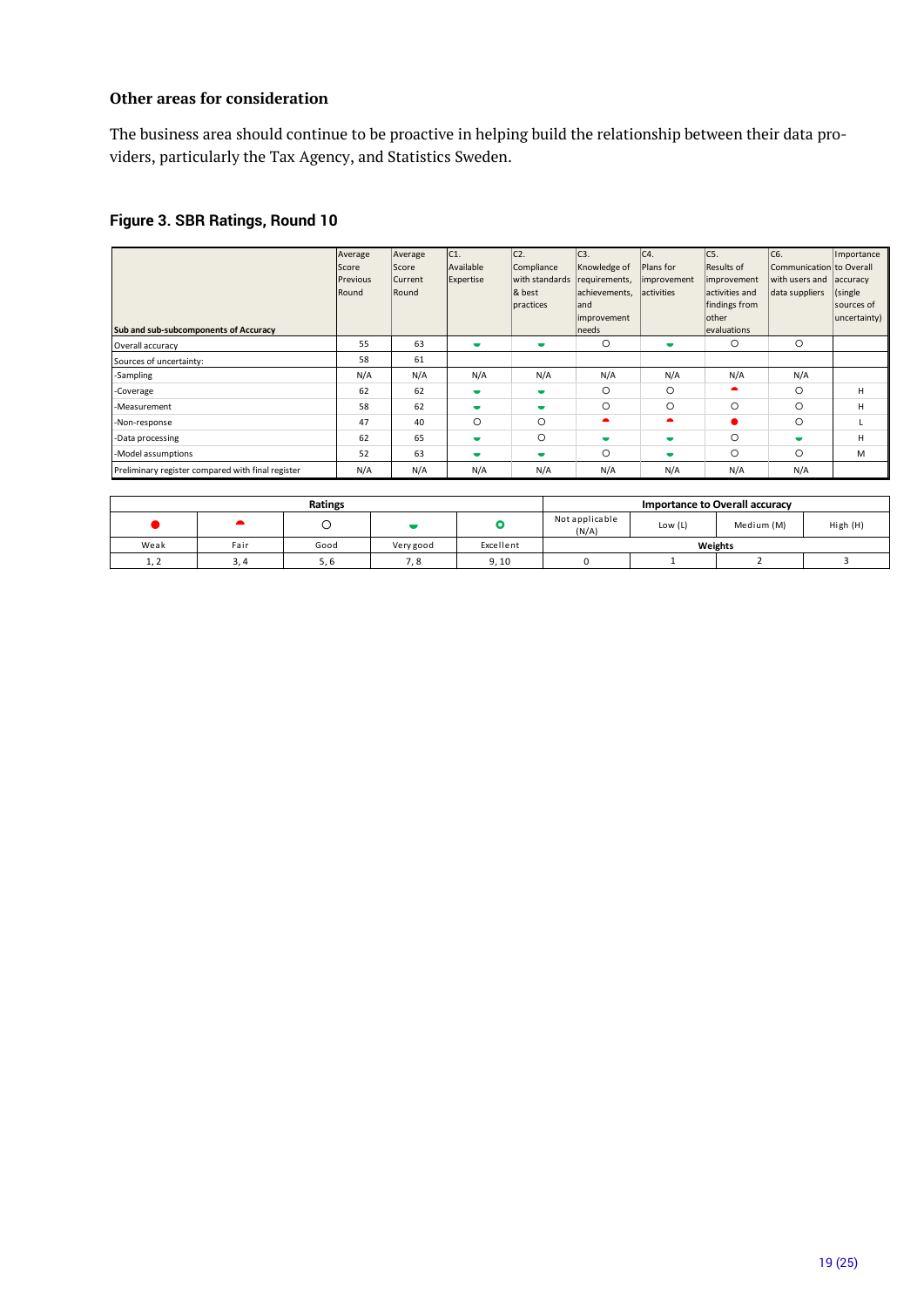#### **Other areas for consideration**

The business area should continue to be proactive in helping build the relationship between their data providers, particularly the Tax Agency, and Statistics Sweden.

# **Figure 3. SBR Ratings, Round 10**

| Sub and sub-subcomponents of Accuracy             | Average<br>Score<br>Previous<br>Round | Average<br>Score<br>Current<br>Round | C1 <br>Available<br>Expertise | C <sub>2</sub><br>Compliance<br>with standards<br>& best<br>practices | C <sub>3</sub> .<br>Knowledge of<br>requirements,<br>achievements,<br>land<br>improvement<br>needs | C4.<br>Plans for<br>improvement<br>activities | C5.<br>Results of<br>improvement<br>activities and<br>findings from<br> other<br>evaluations | C6.<br>Communication to Overall<br>with users and<br>data suppliers | Importance<br>accuracy<br>(single)<br>sources of<br>uncertainty) |
|---------------------------------------------------|---------------------------------------|--------------------------------------|-------------------------------|-----------------------------------------------------------------------|----------------------------------------------------------------------------------------------------|-----------------------------------------------|----------------------------------------------------------------------------------------------|---------------------------------------------------------------------|------------------------------------------------------------------|
| Overall accuracy                                  | 55                                    | 63                                   | ٠                             | $\blacksquare$                                                        | $\circ$                                                                                            | $\overline{\phantom{a}}$                      | $\circ$                                                                                      | $\circ$                                                             |                                                                  |
| Sources of uncertainty:                           | 58                                    | 61                                   |                               |                                                                       |                                                                                                    |                                               |                                                                                              |                                                                     |                                                                  |
| -Sampling                                         | N/A                                   | N/A                                  | N/A                           | N/A                                                                   | N/A                                                                                                | N/A                                           | N/A                                                                                          | N/A                                                                 |                                                                  |
| -Coverage                                         | 62                                    | 62                                   | $\overline{\phantom{a}}$      | $\blacksquare$                                                        | $\circ$                                                                                            | $\Omega$                                      | $\blacktriangle$                                                                             | O                                                                   | н                                                                |
| -Measurement                                      | 58                                    | 62                                   | ٠                             | $\blacksquare$                                                        | $\circ$                                                                                            | $\circ$                                       | $\circ$                                                                                      | O                                                                   | н                                                                |
| -Non-response                                     | 47                                    | 40                                   | O                             | $\circ$                                                               | ▴                                                                                                  | $\bullet$                                     |                                                                                              | $\circ$                                                             |                                                                  |
| -Data processing                                  | 62                                    | 65                                   | $\overline{\phantom{a}}$      | $\circ$                                                               | $\blacksquare$                                                                                     | $\overline{\phantom{a}}$                      | $\circ$                                                                                      |                                                                     | н                                                                |
| -Model assumptions                                | 52                                    | 63                                   | $\overline{\phantom{a}}$      | $\blacksquare$                                                        | $\circ$                                                                                            | $\overline{\phantom{a}}$                      | $\circ$                                                                                      | O                                                                   | M                                                                |
| Preliminary register compared with final register | N/A                                   | N/A                                  | N/A                           | N/A                                                                   | N/A                                                                                                | N/A                                           | N/A                                                                                          | N/A                                                                 |                                                                  |

|      |      | Ratings |           |           |                         | Importance to Overall accuracy |            |          |  |
|------|------|---------|-----------|-----------|-------------------------|--------------------------------|------------|----------|--|
|      |      |         |           |           | Not applicable<br>(N/A) | Low $(L)$                      | Medium (M) | High (H) |  |
| Weak | Fair | Good    | Very good | Excellent |                         | Weights                        |            |          |  |
| 1, 2 | 3.4  | 5.6     | 7.8       | 9.10      |                         |                                |            |          |  |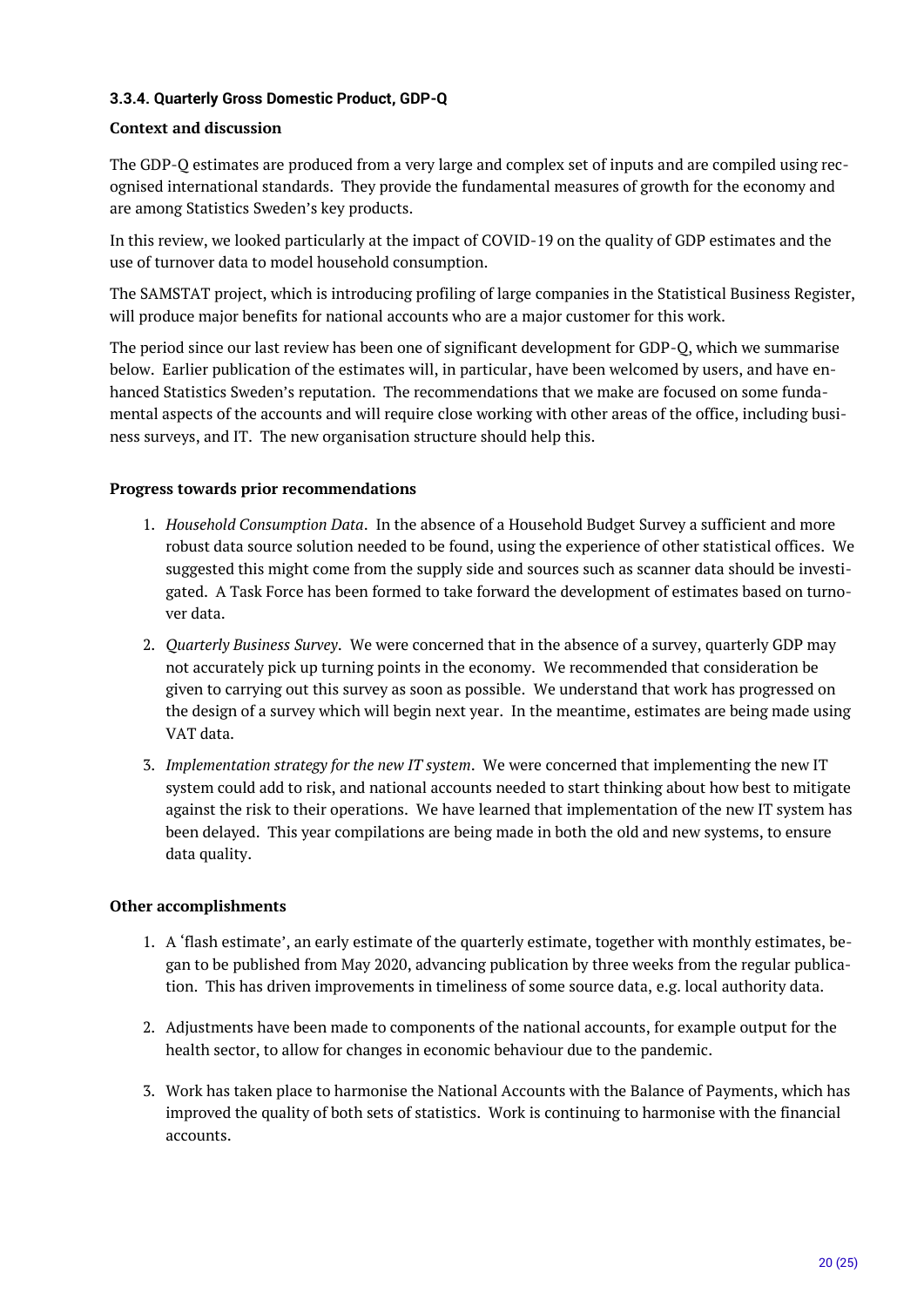#### <span id="page-19-0"></span>**3.3.4. Quarterly Gross Domestic Product, GDP-Q**

#### **Context and discussion**

The GDP-Q estimates are produced from a very large and complex set of inputs and are compiled using recognised international standards. They provide the fundamental measures of growth for the economy and are among Statistics Sweden's key products.

In this review, we looked particularly at the impact of COVID-19 on the quality of GDP estimates and the use of turnover data to model household consumption.

The SAMSTAT project, which is introducing profiling of large companies in the Statistical Business Register, will produce major benefits for national accounts who are a major customer for this work.

The period since our last review has been one of significant development for GDP-Q, which we summarise below. Earlier publication of the estimates will, in particular, have been welcomed by users, and have enhanced Statistics Sweden's reputation. The recommendations that we make are focused on some fundamental aspects of the accounts and will require close working with other areas of the office, including business surveys, and IT. The new organisation structure should help this.

#### **Progress towards prior recommendations**

- 1. *Household Consumption Data*. In the absence of a Household Budget Survey a sufficient and more robust data source solution needed to be found, using the experience of other statistical offices. We suggested this might come from the supply side and sources such as scanner data should be investigated. A Task Force has been formed to take forward the development of estimates based on turnover data.
- 2. *Quarterly Business Survey*. We were concerned that in the absence of a survey, quarterly GDP may not accurately pick up turning points in the economy. We recommended that consideration be given to carrying out this survey as soon as possible. We understand that work has progressed on the design of a survey which will begin next year. In the meantime, estimates are being made using VAT data.
- 3. *Implementation strategy for the new IT system*. We were concerned that implementing the new IT system could add to risk, and national accounts needed to start thinking about how best to mitigate against the risk to their operations. We have learned that implementation of the new IT system has been delayed. This year compilations are being made in both the old and new systems, to ensure data quality.

#### **Other accomplishments**

- 1. A 'flash estimate', an early estimate of the quarterly estimate, together with monthly estimates, began to be published from May 2020, advancing publication by three weeks from the regular publication. This has driven improvements in timeliness of some source data, e.g. local authority data.
- 2. Adjustments have been made to components of the national accounts, for example output for the health sector, to allow for changes in economic behaviour due to the pandemic.
- 3. Work has taken place to harmonise the National Accounts with the Balance of Payments, which has improved the quality of both sets of statistics. Work is continuing to harmonise with the financial accounts.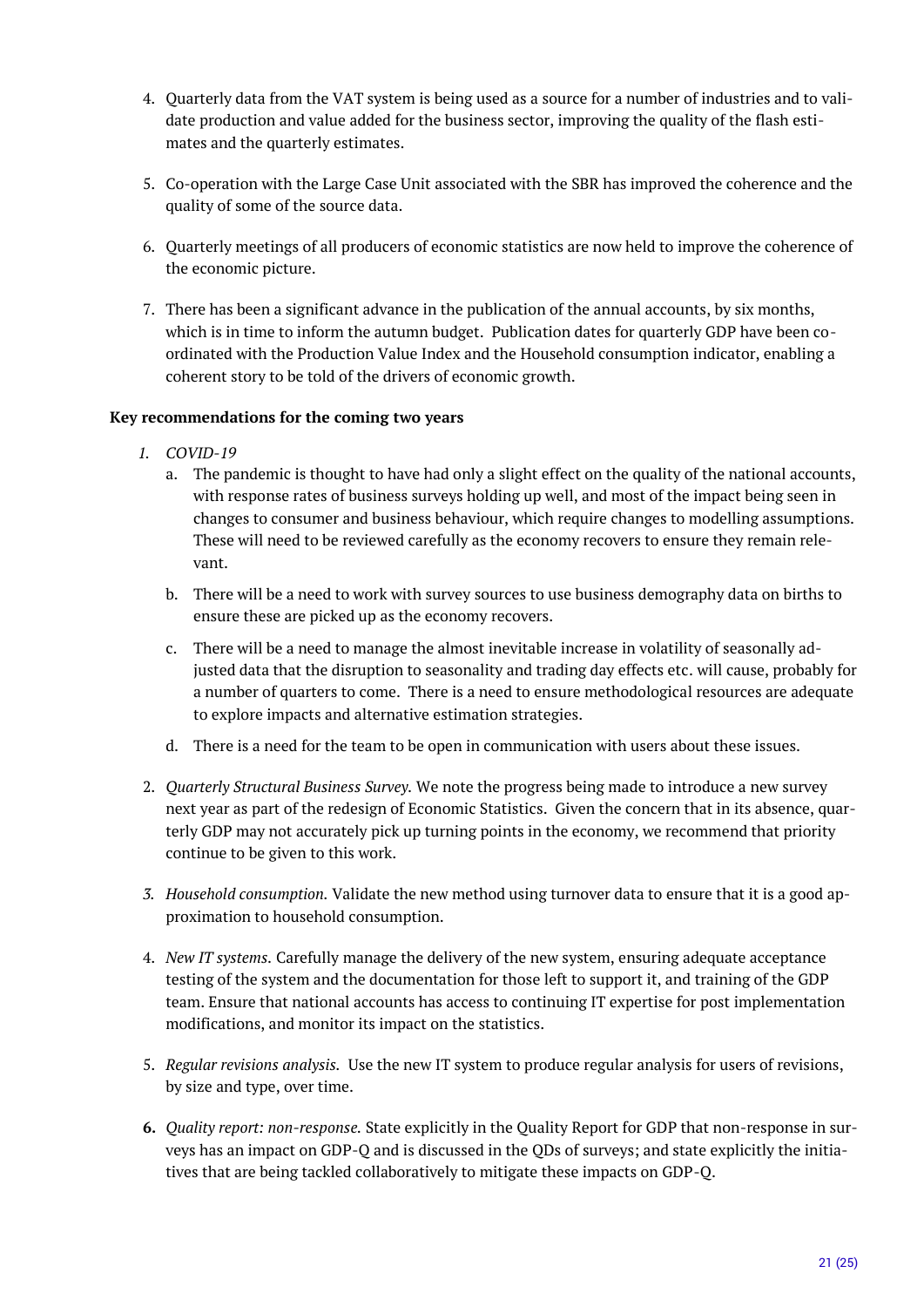- 4. Quarterly data from the VAT system is being used as a source for a number of industries and to validate production and value added for the business sector, improving the quality of the flash estimates and the quarterly estimates.
- 5. Co-operation with the Large Case Unit associated with the SBR has improved the coherence and the quality of some of the source data.
- 6. Quarterly meetings of all producers of economic statistics are now held to improve the coherence of the economic picture.
- 7. There has been a significant advance in the publication of the annual accounts, by six months, which is in time to inform the autumn budget. Publication dates for quarterly GDP have been coordinated with the Production Value Index and the Household consumption indicator, enabling a coherent story to be told of the drivers of economic growth.

#### **Key recommendations for the coming two years**

- *1. COVID-19*
	- a. The pandemic is thought to have had only a slight effect on the quality of the national accounts, with response rates of business surveys holding up well, and most of the impact being seen in changes to consumer and business behaviour, which require changes to modelling assumptions. These will need to be reviewed carefully as the economy recovers to ensure they remain relevant.
	- b. There will be a need to work with survey sources to use business demography data on births to ensure these are picked up as the economy recovers.
	- c. There will be a need to manage the almost inevitable increase in volatility of seasonally adjusted data that the disruption to seasonality and trading day effects etc. will cause, probably for a number of quarters to come. There is a need to ensure methodological resources are adequate to explore impacts and alternative estimation strategies.
	- d. There is a need for the team to be open in communication with users about these issues.
- 2. *Quarterly Structural Business Survey.* We note the progress being made to introduce a new survey next year as part of the redesign of Economic Statistics. Given the concern that in its absence, quarterly GDP may not accurately pick up turning points in the economy, we recommend that priority continue to be given to this work.
- *3. Household consumption.* Validate the new method using turnover data to ensure that it is a good approximation to household consumption.
- 4. *New IT systems.* Carefully manage the delivery of the new system, ensuring adequate acceptance testing of the system and the documentation for those left to support it, and training of the GDP team. Ensure that national accounts has access to continuing IT expertise for post implementation modifications, and monitor its impact on the statistics.
- 5. *Regular revisions analysis.* Use the new IT system to produce regular analysis for users of revisions, by size and type, over time.
- **6.** *Quality report: non-response.* State explicitly in the Quality Report for GDP that non-response in surveys has an impact on GDP-Q and is discussed in the QDs of surveys; and state explicitly the initiatives that are being tackled collaboratively to mitigate these impacts on GDP-Q.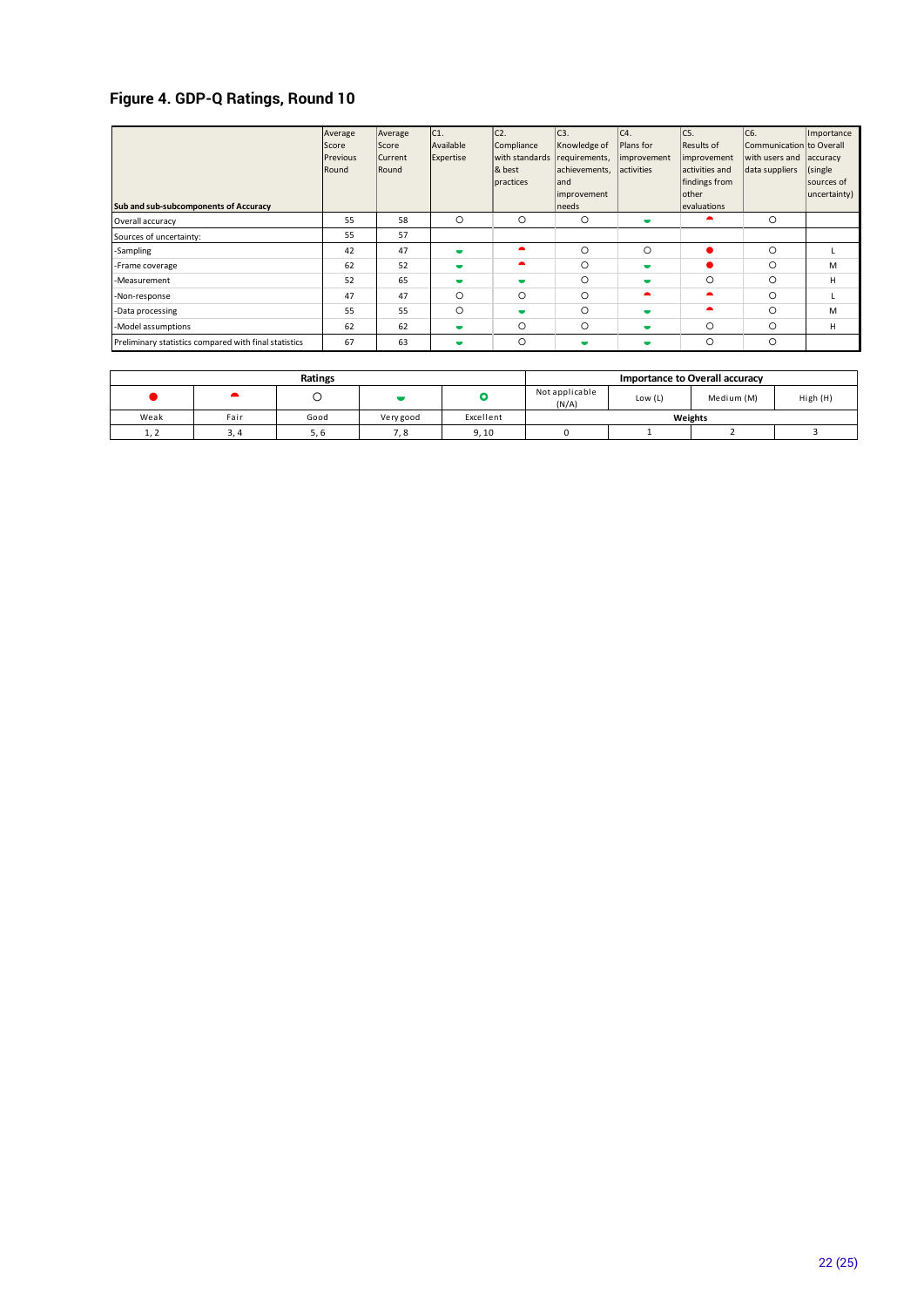# **Figure 4. GDP-Q Ratings, Round 10**

| Sub and sub-subcomponents of Accuracy                 | Average<br>Score<br>Previous<br>Round | Average<br>Score<br>Current<br>Round | C <sub>1</sub><br>Available<br>Expertise | C <sub>2</sub><br>Compliance<br>with standards<br>& best<br>practices | C <sub>3</sub> .<br>Knowledge of<br>requirements,<br>achievements,<br>land<br>improvement<br>needs | C4.<br>Plans for<br>improvement<br>activities | IC5.<br>Results of<br>improvement<br>activities and<br>findings from<br>other<br>evaluations | C6.<br>Communication to Overall<br>with users and<br>data suppliers | Importance<br>accuracy<br>(single<br>sources of<br>uncertainty) |
|-------------------------------------------------------|---------------------------------------|--------------------------------------|------------------------------------------|-----------------------------------------------------------------------|----------------------------------------------------------------------------------------------------|-----------------------------------------------|----------------------------------------------------------------------------------------------|---------------------------------------------------------------------|-----------------------------------------------------------------|
| Overall accuracy                                      | 55                                    | 58                                   | $\circ$                                  | $\circ$                                                               | $\circ$                                                                                            | $\bullet$                                     | c                                                                                            | $\circ$                                                             |                                                                 |
| Sources of uncertainty:                               | 55                                    | 57                                   |                                          |                                                                       |                                                                                                    |                                               |                                                                                              |                                                                     |                                                                 |
| -Sampling                                             | 42                                    | 47                                   | $\blacksquare$                           | $\blacktriangle$                                                      | $\circ$                                                                                            | $\circ$                                       | $\bullet$                                                                                    | $\circ$                                                             |                                                                 |
| -Frame coverage                                       | 62                                    | 52                                   | $\blacksquare$                           | $\blacktriangle$                                                      | $\circ$                                                                                            | $\blacksquare$                                | ●                                                                                            | O                                                                   | M                                                               |
| -Measurement                                          | 52                                    | 65                                   | $\blacksquare$                           | $\blacksquare$                                                        | $\circ$                                                                                            | $\overline{\phantom{a}}$                      | $\circ$                                                                                      | O                                                                   | н                                                               |
| -Non-response                                         | 47                                    | 47                                   | $\Omega$                                 | $\circ$                                                               | $\circ$                                                                                            | $\bullet$                                     | ∙                                                                                            | O                                                                   |                                                                 |
| -Data processing                                      | 55                                    | 55                                   | $\Omega$                                 | $\blacksquare$                                                        | $\circ$                                                                                            | $\overline{\phantom{a}}$                      | ∙                                                                                            | O                                                                   | M                                                               |
| -Model assumptions                                    | 62                                    | 62                                   | $\overline{\phantom{a}}$                 | $\circ$                                                               | $\circ$                                                                                            | $\bullet$                                     | $\circ$                                                                                      | O                                                                   | н                                                               |
| Preliminary statistics compared with final statistics | 67                                    | 63                                   | $\bullet$                                | $\circ$                                                               | ▬                                                                                                  | $\overline{\phantom{a}}$                      | $\circ$                                                                                      | $\circ$                                                             |                                                                 |

|      |      | Ratings |           | Importance to Overall accuracy |                         |         |            |          |  |
|------|------|---------|-----------|--------------------------------|-------------------------|---------|------------|----------|--|
|      |      |         |           |                                | Not applicable<br>(N/A) | Low (L) | Medium (M) | High (H) |  |
| Weak | Fair | Good    | Very good | Excellent                      | Weights                 |         |            |          |  |
| 1, 2 |      | J. L    |           | 9,10                           |                         |         |            |          |  |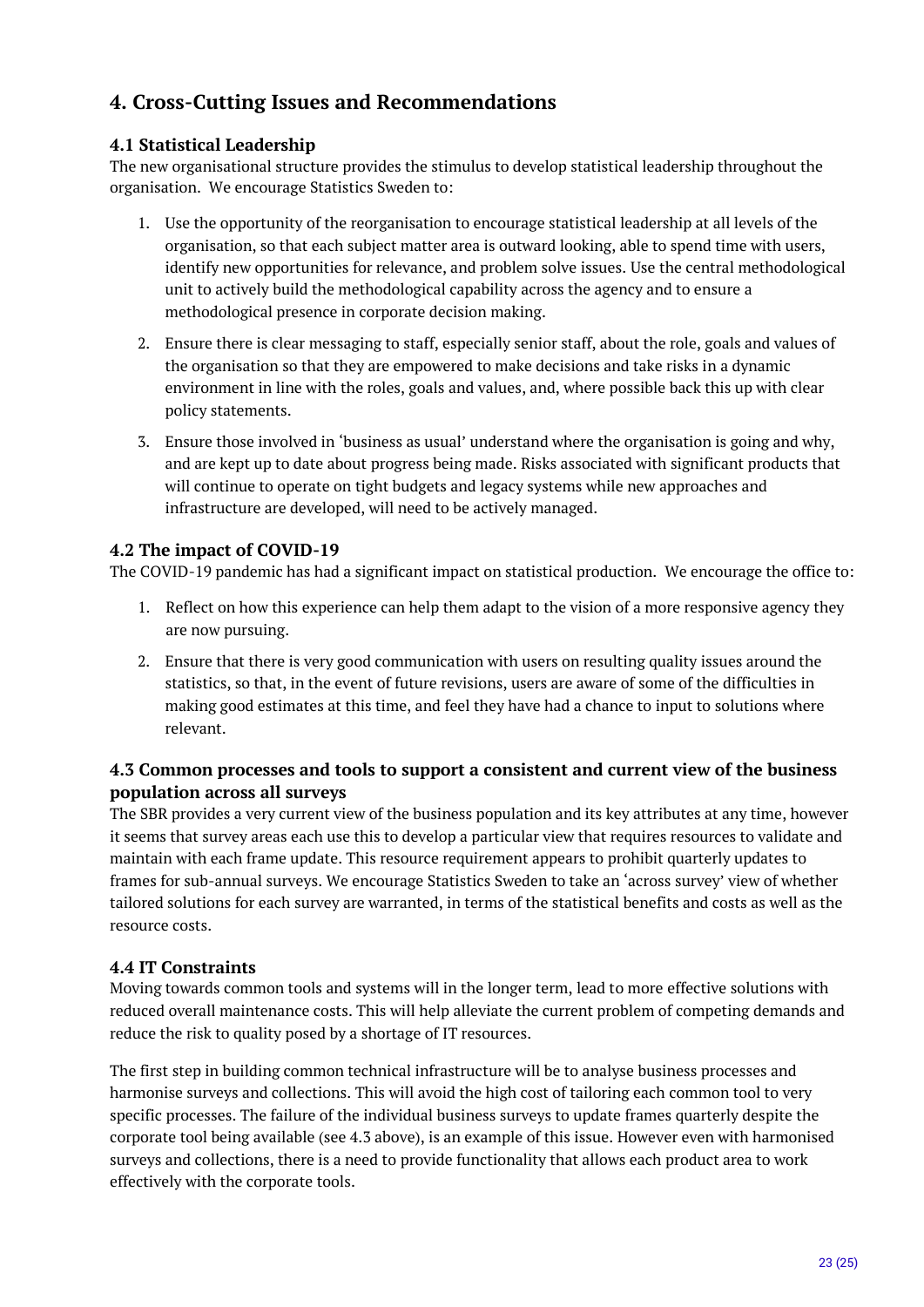# <span id="page-22-0"></span>**4. Cross-Cutting Issues and Recommendations**

## <span id="page-22-1"></span>**4.1 Statistical Leadership**

The new organisational structure provides the stimulus to develop statistical leadership throughout the organisation. We encourage Statistics Sweden to:

- 1. Use the opportunity of the reorganisation to encourage statistical leadership at all levels of the organisation, so that each subject matter area is outward looking, able to spend time with users, identify new opportunities for relevance, and problem solve issues. Use the central methodological unit to actively build the methodological capability across the agency and to ensure a methodological presence in corporate decision making.
- 2. Ensure there is clear messaging to staff, especially senior staff, about the role, goals and values of the organisation so that they are empowered to make decisions and take risks in a dynamic environment in line with the roles, goals and values, and, where possible back this up with clear policy statements.
- 3. Ensure those involved in 'business as usual' understand where the organisation is going and why, and are kept up to date about progress being made. Risks associated with significant products that will continue to operate on tight budgets and legacy systems while new approaches and infrastructure are developed, will need to be actively managed.

## <span id="page-22-2"></span>**4.2 The impact of COVID-19**

The COVID-19 pandemic has had a significant impact on statistical production. We encourage the office to:

- 1. Reflect on how this experience can help them adapt to the vision of a more responsive agency they are now pursuing.
- 2. Ensure that there is very good communication with users on resulting quality issues around the statistics, so that, in the event of future revisions, users are aware of some of the difficulties in making good estimates at this time, and feel they have had a chance to input to solutions where relevant.

## <span id="page-22-3"></span>**4.3 Common processes and tools to support a consistent and current view of the business population across all surveys**

The SBR provides a very current view of the business population and its key attributes at any time, however it seems that survey areas each use this to develop a particular view that requires resources to validate and maintain with each frame update. This resource requirement appears to prohibit quarterly updates to frames for sub-annual surveys. We encourage Statistics Sweden to take an 'across survey' view of whether tailored solutions for each survey are warranted, in terms of the statistical benefits and costs as well as the resource costs.

#### <span id="page-22-4"></span>**4.4 IT Constraints**

Moving towards common tools and systems will in the longer term, lead to more effective solutions with reduced overall maintenance costs. This will help alleviate the current problem of competing demands and reduce the risk to quality posed by a shortage of IT resources.

The first step in building common technical infrastructure will be to analyse business processes and harmonise surveys and collections. This will avoid the high cost of tailoring each common tool to very specific processes. The failure of the individual business surveys to update frames quarterly despite the corporate tool being available (see 4.3 above), is an example of this issue. However even with harmonised surveys and collections, there is a need to provide functionality that allows each product area to work effectively with the corporate tools.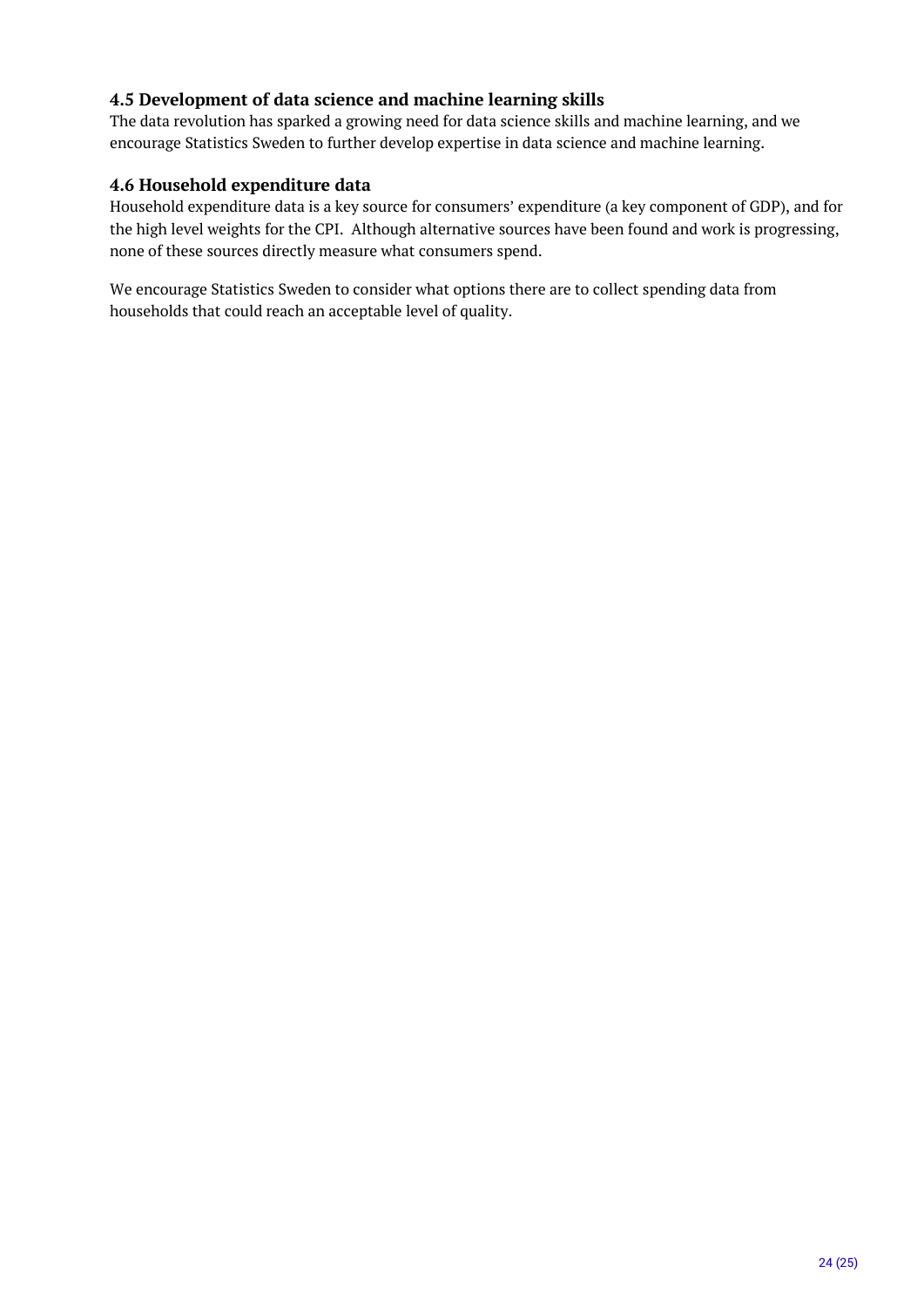## <span id="page-23-0"></span>**4.5 Development of data science and machine learning skills**

The data revolution has sparked a growing need for data science skills and machine learning, and we encourage Statistics Sweden to further develop expertise in data science and machine learning.

#### <span id="page-23-1"></span>**4.6 Household expenditure data**

Household expenditure data is a key source for consumers' expenditure (a key component of GDP), and for the high level weights for the CPI. Although alternative sources have been found and work is progressing, none of these sources directly measure what consumers spend.

We encourage Statistics Sweden to consider what options there are to collect spending data from households that could reach an acceptable level of quality.